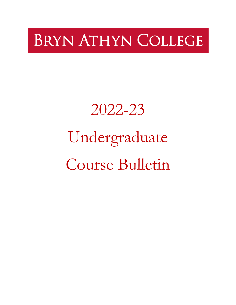# **BRYN ATHYN COLLEGE**

# 2022-23 Undergraduate Course Bulletin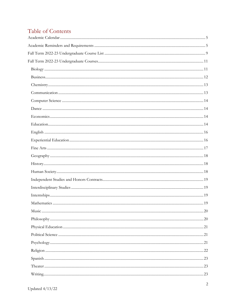### Table of Contents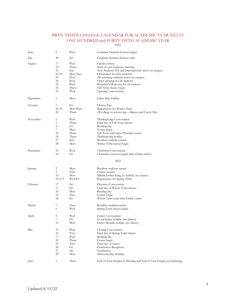#### BRYN ATHYN COLLEGE CALENDAR FOR ACADEMIC YEAR 2022-23: ONE HUNDRED and FORTY-FIFTH ACADEMIC YEAR

<span id="page-4-1"></span><span id="page-4-0"></span>

| June      | 8              | Wed      | Graduate Summer Session begins                                  |
|-----------|----------------|----------|-----------------------------------------------------------------|
| July      | 30             | Sat      | Graduate Summer Session ends                                    |
| August    | 17             | Wed      | Faculty retreat                                                 |
|           | 18             | Thurs    | Start-of-year employee meeting                                  |
|           | 21             | Sun      | New Students (US and International) arrive on campus            |
|           | $22 - 23$      | Mon-Tues | Orientation for new students                                    |
|           | 24             | Wed      | All returning students arrive on campus                         |
|           | 24             | Wed      | Open advising for all students                                  |
|           | 24             | Wed      | President's Welcome for all students                            |
|           | 25             | Thurs    | Fall Term classes begin                                         |
|           | 31             | Wed      | Opening Convocation                                             |
| September | 5              | Mon      | Labor Day holiday                                               |
| October   | 7              | Fri      | Charter Day                                                     |
|           | $10-19$        | Mon-Wed  | Registration for Winter Term                                    |
|           | 20             | Thurs    | All college in-service day—Majors and Career Day                |
| November  | 2              | Wed      | Thanksgiving Convocation                                        |
|           | 3              | Thurs    | Final day of Fall Term classes                                  |
|           | 4              | Fri      | Reading day                                                     |
|           | 7              | Mon      | Exams begin                                                     |
|           | 10             | Thurs    | Fall Term ends after Thursday exams                             |
|           | 24             | Thurs    | Thanksgiving holiday                                            |
|           | 27             | Sun      | Resident students return                                        |
|           | 28             | Mon      | Winter Term classes begin                                       |
| December  | 14             | Wed      | Christmas Convocation                                           |
|           | 16             | Fri      | Christmas vacation begins after Friday classes                  |
|           |                |          | 2023                                                            |
| January   | 2              | Mon      | Resident students return                                        |
|           | 3              | Tues     | Classes resume                                                  |
|           | 16             | Mon      | Martin Luther King, Jr. holiday (no classes)                    |
|           | $25 - 2/3$     | Wed-Fri  | Registration for Spring Term                                    |
| February  | 17             | Fri      | Diversity Convocation                                           |
|           | 17             | Fn       | Final day of Winter Term classes                                |
|           | 20             | Mon      | Reading day                                                     |
|           | 21             | Tues     | Exams begin                                                     |
|           | 24             | Fri      | Winter Term ends after Friday exams                             |
| March     | 7              | Tues     | Resident students return                                        |
|           | 8              | Wed      | Spring Term classes begin                                       |
| April     | 5              | Wed      | Easter Convocation                                              |
|           | $\overline{7}$ | Fri      | Good Friday holiday (no classes)                                |
|           | 10             | Mon      | Easter Monday holiday (no classes)                              |
| May       | 10             | Wed      | Closing Convocation                                             |
|           | 16             | Tues     | Final day of Spring Term classes                                |
|           | 17             | Wed      | Reading day                                                     |
|           | 18             | Thurs    | Exams begin                                                     |
|           | 23             | Tues     | Final day of exams                                              |
|           | 26             | Fn       | Graduation Reception                                            |
|           | 27             | Sat      | Graduation                                                      |
|           | 29             | Mon      | Memorial Day Holiday                                            |
| June      | $\mathbf{1}$   | Thurs    | End-of-Year Employee Meeting and End of Year Employee Gathering |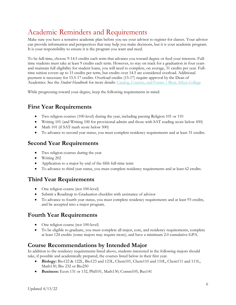## Academic Reminders and Requirements

Make sure you have a tentative academic plan before you see your advisor to register for classes. Your advisor can provide information and perspectives that may help you make decisions, but it is your academic program. It is your responsibility to ensure it is the program you want and need.

To be full-time, choose 9-14.5 credits each term that advance you toward degree or feed your interests. Fulltime students must take at least 9 credits each term. However, to stay on track for a graduation in four years and maintain full eligibility for student loans, you will need to complete, on average, 31 credits per year. Fulltime tuition covers up to 15 credits per term, but credits over 14.5 are considered overload. Additional payment is necessary for 15.5-17 credits. Overload credits (15-17) require approval by the Dean of Academics. See the *Student Handbook* for more details: [Catalog, Courses, and Forms | Bryn Athyn College](https://brynathyn.edu/academics/catalog-courses-and-forms/index.html)

While progressing toward your degree, keep the following requirements in mind:

### **First Year Requirements**

- Two religion courses (100-level) during the year, including passing Religion 101 or 110
- Writing 101 (and Writing 100 for provisional admits and those with SAT reading score below 450)
- Math 101 (if SAT math score below 500)
- To advance to second year status, you must complete residency requirements and at least 31 credits.

### **Second Year Requirements**

- Two religion courses during the year
- Writing 202
- Application to a major by end of the fifth full-time term
- To advance to third year status, you must complete residency requirements and at least 62 credits.

### **Third Year Requirements**

- One religion course (not 100-level)
- Submit a Roadmap to Graduation checklist with assistance of advisor
- To advance to fourth year status, you must complete residency requirements and at least 93 credits, and be accepted into a major program.

### **Fourth Year Requirements**

- One religion course (not 100-level)
- To be eligible to graduate, you must complete all major, core, and residency requirements, complete at least 124 credits (some majors may require more), and have a minimum 2.0 cumulative GPA.

### **Course Recommendations by Intended Major**

In addition to the residency requirements listed above, students interested in the following majors should take, if possible and academically prepared, the courses listed below in their first year.

- **Biology:** Bio122 & 122L, Bio123 and 123L, Chem101, Chem110 and 110L, Chem111 and 111L, Math130, Bio 232 or Bio250
- **Business:** Econ 131 or 132, Phil101, Math130, Comm105, Bus141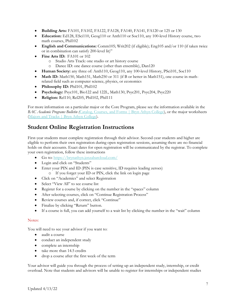- **Building Arts:** FA101, FA102, FA122, FA128, FA140, FA141, FA120 or 125 or 130
- **Education:** Ed128, ESci110, Geog110 or Anth110 or Soc110, any 100-level History course, two math courses, Phil102
- **English and Communications:** Comm105; Writ202 (if eligible); Eng105 and/or 110 (if taken twice or in combination can satisfy 200-level lit)"
- **Fine Arts ID:** FA101 or 102
	- o Studio Arts Track: one studio or art history course
	- o Dance ID: one dance course (other than ensemble), Dan120
- **Human Society:** any three of: Anth110, Geog110, any 100-level History, PSci101, Soc110
- **Math ID:** Math150, Math151, Math250 or 311 (if B or better in Math151), one course in mathrelated field such as computer science, physics, or economics
- Philosophy ID: Phil101, Phil102
- **Psychology:** Psyc101, Bio122 and 122L, Math130, Psyc201, Psyc204, Psyc220
- **Religion:** Rel110, Rel205, Phil102, Phil111

For more information on a particular major or the Core Program, please see the information available in the *BAC Academic Programs Bulletin (*[Catalog, Courses, and Forms | Bryn Athyn College\)](https://brynathyn.edu/academics/catalog-courses-and-forms/index.html), or the major worksheets [\(Majors and Tracks | Bryn Athyn College\)](https://brynathyn.edu/academics/undergraduate/majors.html).

### **Student Online Registration Instructions**

First-year students must complete registration through their advisor. Second-year students and higher are eligible to perform their own registration during open registration sessions, assuming there are no financial holds on their accounts. Exact dates for open registration will be communicated by the registrar. To complete your own registration, follow these instructions

- Go to:<https://brynathyn.jenzabarcloud.com/>
- Login and click on "Students"
- Enter your PIN and ID (PIN is case sensitive, ID requires leading zeroes)
	- o If you forget your ID or PIN, click the link on login page
- Click on "Academics" and select Registration
- Select "View All" to see course list
- Register for a course by clicking on the number in the "spaces" column
- After selecting courses, click on "Continue Registration Process"
- Review courses and, if correct, click "Continue"
- Finalize by clicking "Return" button.
- If a course is full, you can add yourself to a wait list by clicking the number in the "wait" column

#### Notes:

You will need to see your advisor if you want to:

- audit a course
- conduct an independent study
- complete an internship
- take more than 14.5 credits
- drop a course after the first week of the term

Your advisor will guide you through the process of setting up an independent study, internship, or credit overload. Note that students and advisors will be unable to register for internships or independent studies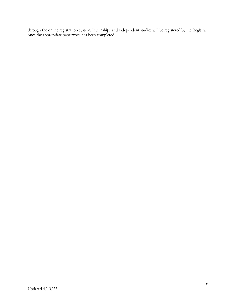through the online registration system. Internships and independent studies will be registered by the Registrar once the appropriate paperwork has been completed.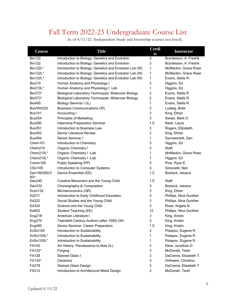### Fall Term 2022-23 Undergraduate Course List

As of 4/11/22. (Independent Study and Internship courses not listed).

<span id="page-8-0"></span>

| Course              | <b>Title</b>                                               | <b>Credi</b><br>ts | <b>Instructor</b>      |
|---------------------|------------------------------------------------------------|--------------------|------------------------|
| <b>Bio122</b>       | Introduction to Biology: Genetics and Evolution            | 3                  | Bryntesson, A. Fredrik |
| <b>Bio122</b>       | Introduction to Biology: Genetics and Evolution            | 3                  | Bryntesson, A. Fredrik |
| Bio122L*            | Introduction to Biology: Genetics and Evolution Lab (W)    | 1                  | McMackin, Grace Rose   |
| Bio122L*            | Introduction to Biology: Genetics and Evolution Lab (W)    | 1                  | McMackin, Grace Rose   |
| Bio122L*            | Introduction to Biology: Genetics and Evolution Lab (W)    | 1                  | Evans, Stella R.       |
| <b>Bio210</b>       | Human Anatomy and Physiology I                             | 3                  | Higgins, Ed            |
| Bio210L*            | Human Anatomy and Physiology I Lab                         | 1                  | Higgins, Ed            |
| Bio373*             | <b>Biological Laboratory Techniques: Molecular Biology</b> | $\overline{c}$     | Evans, Stella R.       |
| Bio373*             | Biological Laboratory Techniques: Molecular Biology        | 2                  | Evans, Stella R.       |
| <b>Bio490</b>       | Biology Seminar I (IL)                                     | 1                  | Evans, Stella R.       |
| Bus/Wrt220          | <b>Business Communications (W)</b>                         | 3                  | Ludwig, Brett          |
| <b>Bus141</b>       | Accounting I                                               | 3                  | King, Ethan            |
| <b>Bus254</b>       | <b>Principles of Marketing</b>                             | 3                  | Swiski, Mark D.        |
| <b>Bus290</b>       | Internship Preparation Seminar                             | 1.5                | Nash, Laura            |
| <b>Bus351</b>       | Introduction to Business Law                               | 3                  | Rogers, Elizabeth      |
| <b>Bus493</b>       | <b>Senior Literature Review</b>                            | $\overline{2}$     | King, Ethan            |
| <b>Bus494</b>       | Senior Seminar I                                           | 1                  | Synnestvedt, Dan       |
| Chem101             | Introduction to Chemistry                                  | 3                  | Higgins, Ed            |
| Chem210             | Organic Chemistry I                                        | 3                  | Staff,                 |
| Chem210L*           | Organic Chemistry I -Lab                                   | 1                  | McMackin, Grace Rose   |
| Chem210L*           | Organic Chemistry I -Lab                                   | 1                  | Higgins, Ed            |
| Comm105             | Public Speaking (PP)                                       | 3                  | Pine, Ryan E.          |
| CSci105             | Introduction to Computer Systems                           | 3                  | Simonetti, Neil        |
| Dan160/260/3<br>60+ | Dance Ensemble (EE)                                        | 1.5                | Bostock, Jessica       |
| Dan240              | Creative Movement and the Young Child                      | 1.5                | Staff,                 |
| Dan332              | Choreography & Composition                                 | 3                  | Bostock, Jessica       |
| Econ132             | Microeconomics (QR)                                        | 3                  | King, Ethan            |
| Ed271               | Introduction to Early Childhood Education                  | 3                  | Phillips, Nina Gunther |
| Ed322               | Social Studies and the Young Child                         | 3                  | Phillips, Nina Gunther |
| Ed324               | Science and the Young Child                                | 3                  | Rose, Angela N.        |
| Ed402               | Student Teaching (EE)                                      | 12                 | Phillips, Nina Gunther |
| Eng218              | American Literature I                                      | 3                  | King, Kristin          |
| Eng370              | Twentieth Century Authors (after 1950) (W)                 | 3                  | King, Kristin          |
| Eng495              | Senior Seminar: Career Preparation                         | 1.5                | King, Kristin          |
| EnSci105            | Introduction to Sustainability                             | 3                  | Potapov, Eugene R.     |
| EnSci105L*          | Introduction to Sustainability                             | 1                  | Potapov, Eugene R.     |
| EnSci105L*          | Introduction to Sustainability                             | 1                  | Potapov, Eugene R.     |
| FA102               | Art History: Renaissance to Now (IL)                       | 3                  | Kline, Jonathan D.     |
| FA122*              | Forging                                                    | 3                  | McDonah, Tedd          |
| FA128               | <b>Stained Glass I</b>                                     | 3                  | DaCrema, Elizabeth T.  |
| FA130*              | Ceramics                                                   | 3                  | Orthwein, Christina    |
| FA278               | <b>Stained Glass Design</b>                                | 3                  | DaCrema, Elizabeth T.  |
| FA312               | Introduction to Architectural Metal Design                 | 3                  | McDonah, Tedd          |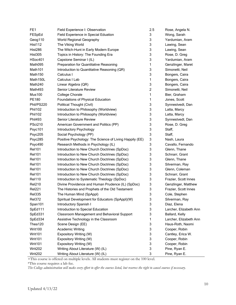| FE1                 | Field Experience I: Observation                         | 2.5 | Rose, Angela N.        |
|---------------------|---------------------------------------------------------|-----|------------------------|
| FESpEd              | Field Experience in Special Eduation                    | 3   | Wong, Sarah            |
| Geog110             | World Regional Geography                                | 3   | Yardumian, Aram        |
| Hist112             | The Viking World                                        | 3   | Lawing, Sean           |
| Hist286             | The Witch-Hunt in Early Modern Europe                   | 3   | Lawing, Sean           |
| Hist305             | Topics in History: The Founding Era                     | 3   | Rose, D. Greg          |
| HSoc401             | Capstone Seminar I (IL)                                 | 3   | Yardumian, Aram        |
| Math095             | Preparation for Quantitative Reasoning                  | 1   | Genzlinger, Maret      |
| Math <sub>101</sub> | Introduction to Quantitative Reasoning (QR)             | 3   | Simonetti, Neil        |
| Math150             | Calculus I                                              | 3   | Bongers, Caira         |
| Math150L            | Calculus I Lab                                          | 1   | Bongers, Caira         |
| Math240             | Linear Algebra (QR)                                     | 3   | Bongers, Caira         |
| Math493             | <b>Senior Literature Review</b>                         | 2   | Simonetti, Neil        |
| <b>Mus100</b>       | <b>College Chorale</b>                                  | 1   | Bier, Graham           |
| PE180               | Foundations of Physical Education                       | 1   | Jones, Scott           |
| Phil/PS220          | Political Thought (Civil)                               | 3   | Synnestvedt, Dan       |
| <b>Phil102</b>      | Introduction to Philosophy (Worldview)                  | 3   | Latta, Marcy           |
| <b>Phil102</b>      | Introduction to Philosophy (Worldview)                  | 3   | Latta, Marcy           |
| Phil493             | Senior Literature Review                                | 3   | Synnestvedt, Dan       |
| <b>PSci210</b>      | American Government and Politics (PP)                   | 3   | Rose, D. Greg          |
| Psyc101             | Introductory Psychology                                 | 3   | Staff,                 |
| Psyc205             | Social Psychology (PP)                                  | 3   | Staff,                 |
| Psyc285             | Positive Psychology: The Science of Living Happily (EE) | 3   | Nash, Laura            |
| Psyc490             | Research Methods in Psychology (IL)                     | 3   | Cavallo, Fernando      |
| <b>Rel101</b>       | Introduction to New Church Doctrines (SpDoc)            | 3   | Glenn, Thane           |
| <b>Rel101</b>       | Introduction to New Church Doctrines (SpDoc)            | 3   | Schnarr, Grant         |
| <b>Rel101</b>       | Introduction to New Church Doctrines (SpDoc)            | 3   | Glenn, Thane           |
| <b>Rel101</b>       | Introduction to New Church Doctrines (SpDoc)            | 3   | Silverman, Ray         |
| <b>Rel101</b>       | Introduction to New Church Doctrines (SpDoc)            | 3   | Glenn, Coleman         |
| <b>Rel101</b>       | Introduction to New Church Doctrines (SpDoc)            | 3   | Schnarr, Grant         |
| <b>Rel110</b>       | Introduction to Systematic Theology (SpDoc)             | 3   | Frazier, Scott Innes   |
| <b>Rel210</b>       | Divine Providence and Human Prudence (IL) (SpDoc)       | 3   | Genzlinger, Matthew    |
| <b>Rel221</b>       | The Histories and Prophets of the Old Testament         | 3   | Frazier, Scott Innes   |
| <b>Rel335</b>       | The Human Mind (SpAppl)                                 | 3   | Cole, Stephen          |
| <b>Rel372</b>       | Spiritual Development for Educators (SpAppl)(W)         | 3   | Silverman, Ray         |
| Span101             | Introductory Spanish I                                  | 3   | Diaz, Elena            |
| SpEd111             | Introduction to Special Education                       | 3   | Larcher, Elizabeth Ann |
| SpEd331             | Classroom Management and Behavioral Support             | 3   | Ballard, Kelly         |
| SpEd334             | Assistive Technology in the Classroom                   | 1   | Larcher, Elizabeth Ann |
| Thea120             | Scene Design (EE)                                       | 3   | Haus-Roth, Naomi       |
| Writ100             | <b>Academic Writing</b>                                 | 3   | Cooper, Robin          |
| Writ101             | Expository Writing (W)                                  | 3   | Cantley, Erica W.      |
| Writ101             | Expository Writing (W)                                  | 3   | Cooper, Robin          |
| Writ101             | Expository Writing (W)                                  | 3   | Cooper, Robin          |
| Writ202             | Writing About Literature (W) (IL)                       | 3   | Pine, Ryan E.          |
| Writ202             | Writing About Literature (W) (IL)                       | 3   | Pine, Ryan E.          |

+This course is offered on multiple levels. All students must register on the 100 level.

\*This course requires a lab fee.

*The College administration will make every effort to offer the courses listed, but reserves the right to cancel courses if necessary.*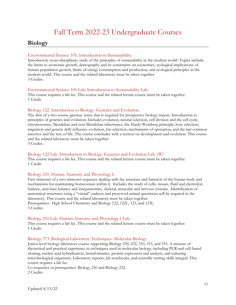### Fall Term 2022-23 Undergraduate Courses

### <span id="page-10-1"></span><span id="page-10-0"></span>**Biology**

#### Environmental Science 105. Introduction to Sustainability.

Introductory cross-disciplinary study of the principles of sustainability in the modern world. Topics include: the limits to economic growth, demography and its constraints on economics, ecological implications of human population growth, limits of energy consumption and production, and ecological principles in the modern world. This course and the related laboratory must be taken together. 3 Credits.

#### Environmental Science 105 Lab. Introduction to Sustainability Lab.

This course requires a lab fee. This course and the related lecture course must be taken together. 1 Credit.

#### Biology 122. Introduction to Biology: Genetics and Evolution.

The first of a two-course gateway series that is required for prospective biology majors. Introduction to principles of genetics and evolution. Includes evolution, natural selection, cell division and the cell cycle, chromosomes, Mendelian and non-Mendelian inheritance, the Hardy-Weinberg principle, how selection, migration and genetic drift influence evolution, kin selection, mechanisms of speciation, and the last common ancestor and the tree of life. The course concludes with a section on development and evolution. This course and the related laboratory must be taken together.

3 Credits.

#### Biology 122 Lab. Introduction to Biology: Genetics and Evolution Lab. (W)

This course requires a lab fee. This course and the related lecture course must be taken together. 1 Credit.

#### Biology 210. Human Anatomy and Physiology I.

First trimester of a two-trimester sequence dealing with the structure and function of the human body and mechanisms for maintaining homeostasis within it. Includes the study of cells, tissues, fluid and electrolyte balance, acid-base balance and integumentary, skeletal, muscular and nervous systems. Identification of anatomical structures using a "virtual" cadaver and preserved animal specimens will be required in the laboratory. This course and the related laboratory must be taken together. Prerequisites: High School Chemistry and Biology 122, 122L, 123, and 123L. 3 Credits.

#### Biology 210 Lab. Human Anatomy and Physiology I Lab.

This course requires a lab fee. This course and the related lecture course must be taken together. 1 Credit.

#### Biology 373. Biological Laboratory Techniques: Molecular Biology.

Junior level biology laboratory course supporting Biology 230, 232, 310, 315, and 355. A mixture of theoretical and practical experience in techniques used in molecular biology, including PCR and cell-based cloning, nucleic acid hybridization, bioinformatics, protein expression and analysis, and culturing microbiological organisms. Laboratory reports, lab notebooks, and scientific writing skills integral. This course requires a lab fee.

Co-requisites or prerequisites: Biology 230 and Biology 232. 2 Credits.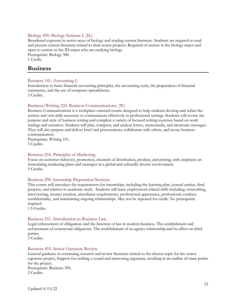#### Biology 490. Biology Seminar I. (IL)

Broadened exposure to active areas of biology and reading current literature. Students are required to read and present current literature related to their senior projects. Required of seniors in the biology major and open to seniors in the ID major who are studying biology. Prerequisite: Biology 380.

1 Credit.

### <span id="page-11-0"></span>**Business**

#### Business 141. Accounting I.

Introduction to basic financial accounting principles, the accounting cycle, the preparation of financial statements, and the use of computer spreadsheets. 3 Credits.

#### Business/Writing 220. Business Communications. (W)

Business Communications is a workplace-oriented course designed to help students develop and refine the written and oral skills necessary to communicate effectively in professional settings. Students will review the purpose and style of business writing and complete a variety of focused writing exercises based on work settings and scenarios. Students will plan, compose, and analyze letters, memoranda, and electronic messages. They will also prepare and deliver brief oral presentations, collaborate with others, and revise business communication.

Prerequisite: Writing 101. 3 Credits.

#### Business 254. Principles of Marketing.

Focus on customer behavior, promotion, channels of distribution, product, and pricing, with emphasis on formulating marketing plans and strategies in a global and culturally diverse environment. 3 Credits.

#### Business 290. Internship Preparation Seminar.

This course will introduce the requirements for internships, including the learning plan, journal entries, final projects, and relation to academic study. Students will learn employment related skills including: networking, interviewing, resume creation, attendance requirements, professional appearance, professional conduct, confidentiality, and maintaining ongoing relationships. May not be repeated for credit. No prerequisite required.

1.5 Credits.

#### Business 351. Introduction to Business Law.

Legal enforcement of obligations and the function of law in modern business. The establishment and enforcement of contractual obligations. The establishment of an agency relationship and its effect on third parties.

3 Credits.

#### Business 493. Senior Literature Review.

General guidance in continuing research and review literature related to the chosen topic for the senior capstone project, Support for crafting a sound and interesting argument, resulting in an outline of main points for the project. Prerequisite: Business 390. 2 Credits.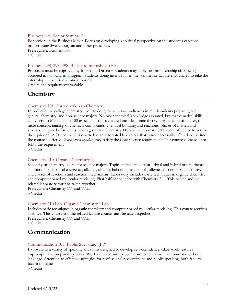#### Business 494. Senior Seminar I.

For seniors in the Business Major. Focus on developing a spiritual perspective on the student's capstone project using Swedenborgian and other principles. Prerequisite: Business 390. 1 Credit.

#### Business 298, 398, 498. Business Internship. (EE)

Proposals must be approved by Internship Director. Students may apply for this internship after being accepted into a business program. Students doing internships in the summer or fall are encouraged to take the internship preparation seminar, Bus290.

Credits and requirements variable.

### <span id="page-12-0"></span>**Chemistry**

#### Chemistry 101. Introduction to Chemistry.

Introduction to college chemistry. Course designed with two audiences in mind-students preparing for general chemistry, and non-science majors. No prior chemical knowledge assumed, but mathematical skills equivalent to Mathematics 100 expected. Topics covered include atomic theory, organization of matter, the mole concept, naming of chemical compounds, chemical bonding and reactions, phases of matter, and kinetics. Required of students who register for Chemistry 110 and have a math SAT score of 500 or lower (or the equivalent ACT score). This course has an associated laboratory that is not necessarily offered every time the course is offered. *When taken together,* they satisfy the Core science requirement. This course alone will not fulfill the requirement.

3 Credits.

#### Chemistry 210. Organic Chemistry I.

Second year chemistry course for science majors. Topics include molecular orbital and hybrid orbital theory and bonding, chemical energetics, alkanes, alkenes, halo alkanes, alcohols, alkynes, dienes, stereochemistry, and classes of reactions and reaction mechanisms. Laboratory includes basic techniques in organic chemistry and computer based molecular modeling. First half of sequence with Chemistry 211. This course and the related laboratory must be taken together. Prerequisite: Chemistry 111 and 111L.

3 Credits.

#### Chemistry 210 Lab. Organic Chemistry I Lab.

Includes basic techniques in organic chemistry and computer based molecular modeling. This course requires a lab fee. This course and the related lecture course must be taken together. Prerequisite: Chemistry 111 and 111L. 1 Credit.

### <span id="page-12-1"></span>**Communication**

#### Communication 105. Public Speaking. (PP)

Exposure to a variety of speaking situations designed to develop self-confidence. Class work features impromptu and prepared speeches. Work on voice and speech improvement as well as command of body language. Attention to effective strategies for professional presentations and public speaking, both face-toface and online.

3 Credits.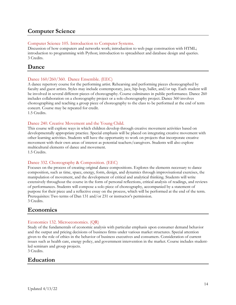### <span id="page-13-0"></span>**Computer Science**

#### Computer Science 105. Introduction to Computer Systems.

Discussion of how computers and networks work; introduction to web page construction with HTML; introduction to programming with Python; introduction to spreadsheet and database design and queries. 3 Credits.

### <span id="page-13-1"></span>**Dance**

#### Dance 160/260/360. Dance Ensemble. (EEC)

A dance repertory course for the performing artist. Rehearsing and performing pieces choreographed by faculty and guest artists. Styles may include contemporary, jazz, hip-hop, ballet, and/or tap. Each student will be involved in several different pieces of choreography. Course culminates in public performance. Dance 260 includes collaboration on a choreography project or a solo choreography project. Dance 360 involves choreographing and teaching a group piece of choreography to the class to be performed at the end of term concert. Course may be repeated for credit. 1.5 Credits.

#### Dance 240. Creative Movement and the Young Child.

This course will explore ways in which children develop through creative movement activities based on developmentally appropriate practice. Special emphasis will be placed on integrating creative movement with other learning activities. Students will have the opportunity to work on projects that incorporate creative movement with their own areas of interest as potential teachers/caregivers. Students will also explore multicultural elements of dance and movement. 1.5 Credits.

#### Dance 332. Choreography & Composition. (EEC)

Focuses on the process of creating original dance compositions. Explores the elements necessary to dance composition, such as time, space, energy, form, design, and dynamics through improvisational exercises, the manipulation of movement, and the development of critical and analytical thinking. Students will write extensively throughout the course in the form of personal reflections, critical analysis of readings, and reviews of performances. Students will compose a solo piece of choreography, accompanied by a statement of purpose for their piece and a reflective essay on the process, which will be performed at the end of the term. Prerequisites: Two terms of Dan 131 and/or 231 or instructor's permission. 3 Credits.

### <span id="page-13-2"></span>**Economics**

#### Economics 132. Microeconomics. (QR)

Study of the fundamentals of economic analysis with particular emphasis upon consumer demand behavior and the output and pricing decisions of business firms under various market structures. Special attention given to the role of ethics in the behavior of business executives and consumers. Consideration of current issues such as health care, energy policy, and government intervention in the market. Course includes studentled seminars and group projects.

3 Credits.

### <span id="page-13-3"></span>**Education**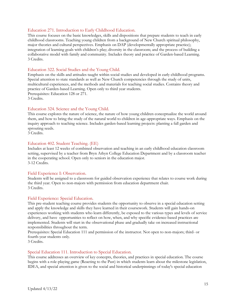#### Education 271. Introduction to Early Childhood Education.

This course focuses on the basic knowledges, skills and dispositions that prepare students to teach in early childhood classrooms. Teaching young children from a background of New Church spiritual philosophy, major theories and cultural perspectives. Emphasis on DAP (developmentally appropriate practice); integration of learning goals with children's play; diversity in the classroom; and the process of building a collaborative model with family and community. Includes theory and practice of Garden-based Learning. 3 Credits.

#### Education 322. Social Studies and the Young Child.

Emphasis on the skills and attitudes taught within social studies and developed in early childhood programs. Special attention to state standards as well as New Church competencies through the study of units, multicultural experiences, and the methods and materials for teaching social studies. Contains theory and practice of Garden-based Learning. Open only to third year students. Prerequisites: Education 128 or 271. 3 Credits.

#### Education 324. Science and the Young Child.

This course explores the nature of science, the nature of how young children conceptualize the world around them, and how to bring the study of the natural world to children in age-appropriate ways. Emphasis on the inquiry approach to teaching science. Includes garden-based learning projects: planting a fall garden and sprouting seeds.

3 Credits.

#### Education 402. Student Teaching. (EE)

Includes at least 12 weeks of combined observation and teaching in an early childhood education classroom setting, supervised by a teacher from Bryn Athyn College Education Department and by a classroom teacher in the cooperating school. Open only to seniors in the education major. 3-12 Credits.

#### Field Experience I: Observation.

Students will be assigned to a classroom for guided observation experience that relates to course work during the third year. Open to non-majors with permission from education department chair. 3 Credits.

#### Field Experience: Special Education.

This pre-student teaching course provides students the opportunity to observe in a special education setting and apply the knowledge and skills they have learned in their coursework. Students will gain hands-on experiences working with students who learn differently, be exposed to the various types and levels of service delivery, and have opportunities to reflect on how, when, and why specific evidence-based practices are implemented. Students will start in the observational phase and gradually take on increased instructional responsibilities throughout the term.

Prerequisites: Special Education 111 and permission of the instructor. Not open to non-majors; third- or fourth-year students only.

3 Credits.

#### Special Education 111. Introduction to Special Education.

This course addresses an overview of key concepts, theories, and practices in special education. The course begins with a role-playing game (Reacting to the Past) in which students learn about the milestone legislation, IDEA, and special attention is given to the social and historical underpinnings of today's special education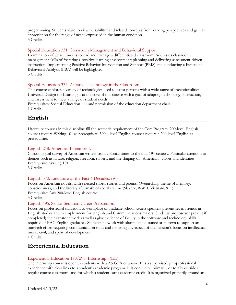programming. Students learn to view "disability" and related concepts from varying perspectives and gain an appreciation for the range of needs expressed in the human condition. 3 Credits.

#### Special Education 331. Classroom Management and Behavioral Support.

Examination of what it means to lead and manage a differentiated classroom. Addresses classroom management skills of fostering a positive learning environment; planning and delivering assessment-driven instruction. Implementing Positive Behavior Intervention and Support (PBIS) and conducting a Functional Behavioral Analysis (FBA) will be highlighted. 3 Credits.

#### Special Education 334. Assistive Technology in the Classroom.

This course explores a variety of technologies used to assist persons with a wide range of exceptionalities. Universal Design for Learning is at the core of this course with a goal of adapting technology, instruction, and assessment to meet a range of student needs.

Prerequisites: Special Education 111 and permission of the education department chair. 1 Credit.

### <span id="page-15-0"></span>**English**

Literature courses in this discipline fill the aesthetic requirement of the Core Program. 200-level English courses require Writing 101 as prerequisite. 300+-level English courses require a 200-level English as prerequisite.

#### English 218. American Literature I.

Chronological survey of American writers from colonial times to the mid-19th century. Particular attention to themes such as nature, religion, freedom, slavery, and the shaping of "American" values and identities. Prerequisite: Writing 101.

3 Credits.

#### English 370. Literature of the Past 4 Decades. (W)

Focus on American novels, with selected shorts stories and poems. Overarching theme of memory, consciousness, and the literary aftermath of social trauma (Slavery, WWII, Vietnam, 911). Prerequisite: Any 200-level English course.

3 Credits.

#### English 495. Senior Seminar: Career Preparation.

Focus on professional transition to workplace or graduate school. Guest speakers present recent trends in English studies and in employment for English and Communications majors. Students propose (or present if completed) their capstone work as well as give evidence of facility in the software and technology skills required of BAC English graduates. Students network with alumni at a distance or in town to support an outreach effort requiring communication skills and fostering any aspect of the mission's focus on intellectual, moral, civil, and spiritual development.

1 Credit.

### <span id="page-15-1"></span>**Experiential Education**

#### Experiential Education 198/298. Internship. (EE)

The internship course is open to students with a 2.5 GPA or above. It is a supervised, pre-professional experience with clear links to a student's academic program. It is conducted primarily or totally outside a regular course classroom, and for which a student earns academic credit. It is organized primarily around an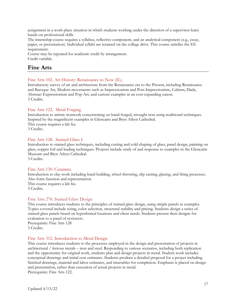assignment in a work-place situation in which students working under the direction of a supervisor learn hands-on professional skills.

The internship course requires a syllabus, reflective component, and an analytical component (e.g., essay, paper, or presentation). Individual syllabi are retained on the college drive. This course satisfies the EE requirement.

Course may be repeated for academic credit by arrangement. Credit variable.

### <span id="page-16-0"></span>**Fine Arts**

#### Fine Arts 102. Art History: Renaissance to Now (IL).

Introductory survey of art and architecture from the Renaissance era to the Present, including Renaissance and Baroque Art, Modern movements such as Impressionism and Post-Impressionism, Cubism, Dada, Abstract Expressionism and Pop-Art, and current examples in an ever-expanding canon. 3 Credits.

#### Fine Arts 122. Metal Forging.

Introduction to artistic ironwork concentrating on hand-forged, wrought iron using traditional techniques. Inspired by the magnificent examples in Glencairn and Bryn Athyn Cathedral. This course requires a lab fee. 3 Credits.

#### Fine Arts 128. Stained Glass I.

Introduction to stained glass techniques, including cutting and cold-shaping of glass, panel design, painting on glass, copper foil and leading techniques. Projects include study of and response to examples in the Glencairn Museum and Bryn Athyn Cathedral. 3 Credits.

#### Fine Arts 130. Ceramics.

Introduction to clay work including hand building, wheel throwing, slip casting, glazing, and firing processes. Also form function and representation.

This course requires a lab fee. 3 Credits.

#### Fine Arts 278. Stained Glass Design

This course introduces students to the principles of stained glass design, using simple panels as examples. Topics covered include sizing, color selection, structural stability and pricing. Students design a series of stained glass panels based on hypothetical locations and client needs. Students present their designs for evaluation to a panel of reviewers.

Prerequisite: Fine Arts 128 3 Credits.

#### Fine Arts 312. Introduction to Metal Design.

This course introduces students to the processes employed in the design and presentation of projects in architectural / ferrous metals – iron and steel. Responding to various scenarios, including both replication and the opportunity for original work, students plan and design projects in metal. Student work includes conceptual drawings and initial cost estimates. Students produce a detailed proposal for a project including finished drawings, material and labor estimates, and timetables for completion. Emphasis is placed on design and presentation, rather than execution of actual projects in metal. Prerequisite: Fine Arts 122.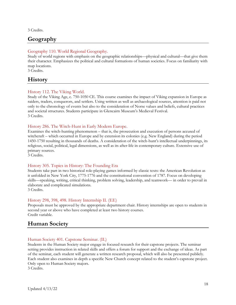3 Credits.

### <span id="page-17-0"></span>**Geography**

#### Geography 110. World Regional Geography.

Study of world regions with emphasis on the geographic relationships—physical and cultural—that give them their character. Emphasizes the political and cultural formations of human societies. Focus on familiarity with map locations.

3 Credits.

### <span id="page-17-1"></span>**History**

#### History 112. The Viking World.

Study of the Viking Age, c. 750-1050 CE. This course examines the impact of Viking expansion in Europe as raiders, traders, conquerors, and settlers. Using written as well as archaeological sources, attention is paid not only to the chronology of events but also to the consideration of Norse values and beliefs, cultural practices and societal structures. Students participate in Glencairn Museum's Medieval Festival. 3 Credits.

#### History 286. The Witch-Hunt in Early Modern Europe.

Examines the witch-hunting phenomenon – that is, the prosecution and execution of persons accused of witchcraft – which occurred in Europe and by extension its colonies (e.g. New England) during the period 1450-1750 resulting in thousands of deaths. A consideration of the witch-hunt's intellectual underpinnings, its religious, social, political, legal dimensions, as well as its after-life in contemporary culture. Extensive use of primary sources.

3 Credits.

#### History 305. Topics in History: The Founding Era

Students take part in two historical role-playing games informed by classic texts: the American Revolution as it unfolded in New York City, 1775-1776 and the constitutional convention of 1787. Focus on developing skills—speaking, writing, critical thinking, problem solving, leadership, and teamwork— in order to prevail in elaborate and complicated simulations.

3 Credits.

#### History 298, 398, 498. History Internship II. (EE)

Proposals must be approved by the appropriate department chair. History internships are open to students in second year or above who have completed at least two history courses. Credit variable.

### <span id="page-17-2"></span>**Human Society**

#### Human Society 401. Capstone Seminar. (IL)

Students in the Human Society major engage in focused research for their capstone projects. The seminar setting provides instruction in related skills and offers a forum for support and the exchange of ideas. As part of the seminar, each student will generate a written research proposal, which will also be presented publicly. Each student also examines in depth a specific New Church concept related to the student's capstone project. Only open to Human Society majors.

3 Credits.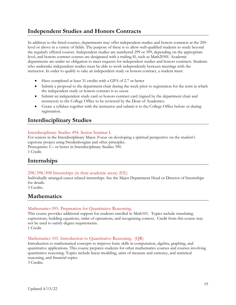### <span id="page-18-0"></span>**Independent Studies and Honors Contracts**

In addition to the listed courses, departments may offer independent studies and honors contracts at the 200 level or above in a variety of fields. The purpose of these is to allow well-qualified students to study beyond the regularly offered courses. Independent studies are numbered 299 or 399, depending on the appropriate level, and honors contract courses are designated with a trailing H, such as Math205H. Academic departments are under no obligation to meet requests for independent studies and honors contracts. Students who undertake independent studies must be able to work independently between meetings with the instructor. In order to qualify to take an independent study or honors contract, a student must:

- Have completed at least 31 credits with a GPA of 2.7 or better
- Submit a proposal to the department chair during the week prior to registration for the term in which the independent study or honors contract is to occur.
- Submit an independent study card or honors contract card (signed by the department chair and instructor) to the College Office to be reviewed by the Dean of Academics.
- Create a syllabus together with the instructor and submit it to the College Office before or during registration.

### <span id="page-18-1"></span>**Interdisciplinary Studies**

#### Interdisciplinary Studies 494. Senior Seminar I.

For seniors in the Interdisciplinary Major. Focus on developing a spiritual perspective on the student's capstone project using Swedenborgian and other principles. Prerequisite: C– or better in Interdisciplinary Studies 390. 1 Credit.

### <span id="page-18-2"></span>**Internships**

#### 298/398/498 Internships (in their academic areas) (EE)

Individually arranged career related internships. See the Major Department Head or Director of Internships for details.

3 Credits.

### <span id="page-18-3"></span>**Mathematics**

#### Mathematics 095. Preparation for Quantitative Reasoning.

This course provides additional support for students enrolled in Math101. Topics include translating expressions, building equations, order of operations, and recognizing context. Credit from this course may not be used to satisfy degree requirements. 1 Credit.

#### Mathematics 101. Introduction to Quantitative Reasoning. (QR)

Introduction to mathematical concepts to improve basic skills in computation, algebra, graphing, and quantitative applications. This course prepares students for other mathematics courses and courses involving quantitative reasoning. Topics include linear modeling, units of measure and currency, and statistical reasoning, and financial topics.

3 Credits.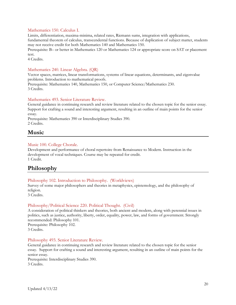#### Mathematics 150. Calculus I.

Limits, differentiation, maxima-minima, related rates, Riemann sums, integration with applications, fundamental theorem of calculus, transcendental functions. Because of duplication of subject matter, students may not receive credit for both Mathematics 140 and Mathematics 150.

Prerequisite: B– or better in Mathematics 120 or Mathematics 124 or appropriate score on SAT or placement test.

4 Credits.

#### Mathematics 240. Linear Algebra. (QR)

Vector spaces, matrices, linear transformations, systems of linear equations, determinants, and eigenvalue problems. Introduction to mathematical proofs.

Prerequisite: Mathematics 140, Mathematics 150, or Computer Science/Mathematics 230. 3 Credits.

#### Mathematics 493. Senior Literature Review.

General guidance in continuing research and review literature related to the chosen topic for the senior essay. Support for crafting a sound and interesting argument, resulting in an outline of main points for the senior essay.

Prerequisite: Mathematics 390 or Interdisciplinary Studies 390. 2 Credits.

### <span id="page-19-0"></span>**Music**

#### Music 100. College Chorale.

Development and performance of choral repertoire from Renaissance to Modern. Instruction in the development of vocal techniques. Course may be repeated for credit. 1 Credit.

### <span id="page-19-1"></span>**Philosophy**

#### Philosophy 102. Introduction to Philosophy. (Worldviews)

Survey of some major philosophers and theories in metaphysics, epistemology, and the philosophy of religion.

3 Credits.

#### Philosophy/Political Science 220. Political Thought. (Civil)

A consideration of political thinkers and theories, both ancient and modern, along with perennial issues in politics, such as justice, authority, liberty, order, equality, power, law, and forms of government. Strongly recommended: Philosophy 101. Prerequisite: Philosophy 102.

3 Credits.

#### Philosophy 493. Senior Literature Review.

General guidance in continuing research and review literature related to the chosen topic for the senior essay. Support for crafting a sound and interesting argument, resulting in an outline of main points for the senior essay.

Prerequisite: Interdisciplinary Studies 390. 3 Credits.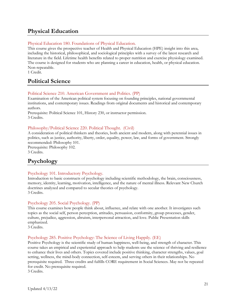### <span id="page-20-0"></span>**Physical Education**

#### Physical Education 180. Foundations of Physical Education.

This course gives the prospective teacher of Health and Physical Education (HPE) insight into this area, including the historical, philosophical, and sociological principles with a survey of the latest research and literature in the field. Lifetime health benefits related to proper nutrition and exercise physiology examined. The course is designed for students who are planning a career in education, health, or physical education. Non-repeatable.

1 Credit.

### <span id="page-20-1"></span>**Political Science**

#### Political Science 210. American Government and Politics. (PP)

Examination of the American political system focusing on founding principles, national governmental institutions, and contemporary issues. Readings from original documents and historical and contemporary authors.

Prerequisite: Political Science 101, History 230, or instructor permission. 3 Credits.

#### Philosophy/Political Science 220. Political Thought. (Civil)

A consideration of political thinkers and theories, both ancient and modern, along with perennial issues in politics, such as justice, authority, liberty, order, equality, power, law, and forms of government. Strongly recommended: Philosophy 101.

Prerequisite: Philosophy 102. 3 Credits.

### <span id="page-20-2"></span>**Psychology**

#### Psychology 101. Introductory Psychology.

Introduction to basic constructs of psychology including scientific methodology, the brain, consciousness, memory, identity, learning, motivation, intelligence, and the nature of mental illness. Relevant New Church doctrines analyzed and compared to secular theories of psychology. 3 Credits.

#### Psychology 205. Social Psychology. (PP)

This course examines how people think about, influence, and relate with one another. It investigates such topics as the social self, person perception, attitudes, persuasion, conformity, group processes, gender, culture, prejudice, aggression, altruism, interpersonal attraction, and love. Public Presentation skills emphasized.

3 Credits.

#### Psychology 285. Positive Psychology: The Science of Living Happily. (EE)

Positive Psychology is the scientific study of human happiness, well-being, and strength of character. This course takes an empirical and experiential approach to help students use the science of thriving and resilience to enhance their lives and others. Topics covered include positive thinking, character strengths, values, goal setting, wellness, the mind-body connection, self-esteem, and serving others in their relationships. No prerequisite required. Three credits and fulfills CORE requirement in Social Sciences. May not be repeated for credit. No prerequisite required. 3 Credits.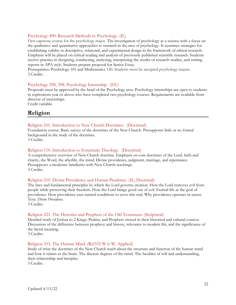#### Psychology 490. Research Methods in Psychology. (IL)

First capstone course for the psychology major. The investigation of psychology as a science with a focus on the qualitative and quantitative approaches to research in the area of psychology. It examines strategies for establishing validity in descriptive, relational, and experimental design in the framework of ethical research. Emphasis will be placed on critical reading and analysis of previously published scientific research. Students receive practice in designing, conducting, analyzing, interpreting the results of research studies, and writing reports in APA style. Students prepare proposal for Senior Essay.

Prerequisites: Psychology 101 and Mathematics 130. Students must be accepted psychology majors. 3 Credits.

#### Psychology 298, 398. Psychology Internship. (EE)

Proposals must be approved by the head of the Psychology area. Psychology internships are open to students in sophomore year or above who have completed two psychology courses. Requirements are available from director of internships.

Credit variable.

### <span id="page-21-0"></span>**Religion**

#### Religion 101. Introduction to New Church Doctrines. (Doctrinal)

Foundation course. Basic survey of the doctrines of the New Church. Presupposes little or no formal background in the study of the doctrines.

3 Credits.

#### Religion 110. Introduction to Systematic Theology. (Doctrinal)

A comprehensive overview of New Church doctrine. Emphasis on core doctrines of the Lord, faith and charity, the Word, the afterlife, the mind, Divine providence, judgment, marriage, and repentance. Presupposes a moderate familiarity with New Church teachings. 3 Credits.

#### Religion 210. Divine Providence and Human Prudence. (IL, Doctrinal)

The laws and fundamental principles by which the Lord governs creation. How the Lord removes evil from people while preserving their freedom. How the Lord brings good out of evil. Eternal life as the goal of providence. How providence uses natural conditions to serve this end. Why providence operates in secret. Text: *Divine Providence*.

3 Credits.

#### Religion 221. The Histories and Prophets of the Old Testament. (Scriptural)

Detailed study of Joshua to 2 Kings, Psalms, and Prophets viewed in their historical and cultural context. Discussion of the difference between prophesy and history, relevance to modern life, and the significance of the literal meaning.

3 Credits.

#### Religion 335. The Human Mind. (Rel335 W is W, Applied)

Study of what the doctrines of the New Church teach about the structure and function of the human mind and how it relates to the brain. The discrete degrees of the mind. The faculties of will and understanding, their relationship and interplay.

3 Credits.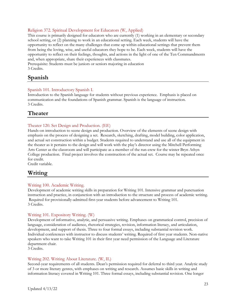#### Religion 372. Spiritual Development for Educators (W, Applied)

This course is primarily designed for educators who are currently (1) working in an elementary or secondary school setting, or (2) planning to work in an educational setting. Each week, students will have the opportunity to reflect on the many challenges that come up within educational settings that prevent them from being the loving, wise, and useful educators they hope to be. Each week, students will have the opportunity to reflect on their feelings, thoughts, and actions in the light of one of the Ten Commandments and, when appropriate, share their experiences with classmates.

Prerequisite: Students must be juniors or seniors majoring in education 3 Credits.

### <span id="page-22-0"></span>**Spanish**

#### Spanish 101. Introductory Spanish I.

Introduction to the Spanish language for students without previous experience. Emphasis is placed on communication and the foundations of Spanish grammar. Spanish is the language of instruction. 3 Credits.

### <span id="page-22-1"></span>**Theater**

#### Theater 120. Set Design and Production. (EE)

Hands-on introduction to scene design and production. Overview of the elements of scene design with emphasis on the process of designing a set. Research, sketching, drafting, model building, color application, and actual set construction within a budget. Students required to understand and use all of the equipment in the theater as it pertains to the design and will work with the play's director using the Mitchell Performing Arts Center as the classroom and will participate as a member of the run-crew for the winter Bryn Athyn College production. Final project involves the construction of the actual set. Course may be repeated once for credit.

Credit variable.

### <span id="page-22-2"></span>**Writing**

#### Writing 100. Academic Writing.

Development of academic writing skills in preparation for Writing 101. Intensive grammar and punctuation instruction and practice, in conjunction with an introduction to the structure and process of academic writing. Required for provisionally-admitted first-year students before advancement to Writing 101. 3 Credits.

#### Writing 101. Expository Writing. (W)

Development of informative, analytic, and persuasive writing. Emphases on grammatical control, precision of language, consideration of audience, rhetorical strategies, revision, information literacy, and articulation, development, and support of thesis. Three to four formal essays, including substantial revision work. Individual conferences with instructor to discuss students' writing. Required of first year students. Non-native speakers who want to take Writing 101 in their first year need permission of the Language and Literature department chair.

3 Credits.

#### Writing 202. Writing About Literature. (W, IL)

Second-year requirements of all students. Dean's permission required for deferral to third year. Analytic study of 3 or more literary genres, with emphases on writing and research. Assumes basic skills in writing and information literacy covered in Writing 101. Three formal essays, including substantial revision. One longer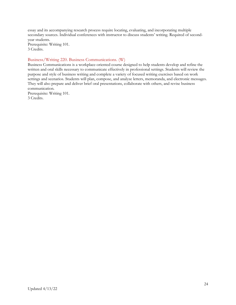essay and its accompanying research process require locating, evaluating, and incorporating multiple secondary sources. Individual conferences with instructor to discuss students' writing. Required of secondyear students.

Prerequisite: Writing 101. 3 Credits.

#### Business/Writing 220. Business Communications. (W)

Business Communications is a workplace-oriented course designed to help students develop and refine the written and oral skills necessary to communicate effectively in professional settings. Students will review the purpose and style of business writing and complete a variety of focused writing exercises based on work settings and scenarios. Students will plan, compose, and analyze letters, memoranda, and electronic messages. They will also prepare and deliver brief oral presentations, collaborate with others, and revise business communication.

Prerequisite: Writing 101. 3 Credits.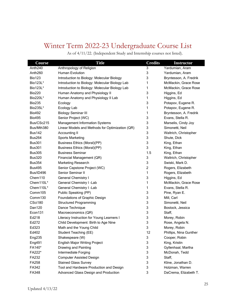### <span id="page-24-0"></span>Winter Term 2022-23 Undergraduate Course List

As of 4/11/22. (Independent Study and Internship courses not listed).

| Course              | <b>Title</b>                                    | <b>Credits</b> | <b>Instructor</b>      |
|---------------------|-------------------------------------------------|----------------|------------------------|
| Anth <sub>240</sub> | Anthropology of Religion                        | 3              | Yardumian, Aram        |
| Anth <sub>260</sub> | <b>Human Evolution</b>                          | 3              | Yardumian, Aram        |
| <b>Bio123</b>       | Introduction to Biology: Molecular Biology      | 3              | Bryntesson, A. Fredrik |
| Bio123L*            | Introduction to Biology: Molecular Biology Lab  | 1              | McMackin, Grace Rose   |
| Bio123L*            | Introduction to Biology: Molecular Biology Lab  | 1              | McMackin, Grace Rose   |
| <b>Bio220</b>       | Human Anatomy and Physiology II                 | 3              | Higgins, Ed            |
| Bio220L*            | Human Anatomy and Physiology II Lab             | 1              | Higgins, Ed            |
| <b>Bio235</b>       | Ecology                                         | 3              | Potapov, Eugene R.     |
| Bio235L*            | Ecology Lab                                     | 1              | Potapov, Eugene R.     |
| <b>Bio492</b>       | <b>Biology Seminar III</b>                      | 1              | Bryntesson, A. Fredrik |
| <b>Bio495</b>       | Senior Project (WC)                             | 3              | Evans, Stella R.       |
| Bus/CSc215          | <b>Management Information Systems</b>           | 3              | Marselis, Cindy Joy    |
| Bus/Mth380          | Linear Models and Methods for Optimization (QR) | 3              | Simonetti, Neil        |
| <b>Bus142</b>       | Accounting II                                   | 3              | Waltrich, Christopher  |
| <b>Bus264</b>       | <b>Sports Marketing</b>                         | 3              | Shute, Dick            |
| <b>Bus301</b>       | <b>Business Ethics (Moral)(PP)</b>              | 3              | King, Ethan            |
| <b>Bus301</b>       | Business Ethics (Moral)(PP)                     | 3              | King, Ethan            |
| <b>Bus305</b>       | <b>Business Seminar</b>                         | 1.5            | King, Ethan            |
| <b>Bus320</b>       | Financial Management (QR)                       | 3              | Waltrich, Christopher  |
| <b>Bus354</b>       | Marketing Research                              | 3              | Swiski, Mark D.        |
| <b>Bus495</b>       | Senior Capstone Project (WC)                    | $\overline{c}$ | Rogers, Elizabeth      |
| Bus/ID496           | Senior Seminar II                               | 1              | Rogers, Elizabeth      |
| Chem110             | <b>General Chemistry I</b>                      | 3              | Higgins, Ed            |
| Chem110L*           | General Chemistry I -Lab                        | 1              | McMackin, Grace Rose   |
| Chem110L*           | General Chemistry I -Lab                        | 1              | Evans, Stella R.       |
| Comm105             | Public Speaking (PP)                            | 3              | Pine, Ryan E.          |
| Comm <sub>130</sub> | Foundations of Graphic Design                   | 3              | Mill, Carl             |
| CSci180             | <b>Structured Programming</b>                   | 3              | Simonetti, Neil        |
| Dan120              | Dance Technique                                 | 3              | Bostock, Jessica       |
| Econ131             | Macroeconomics (QR)                             | 3              | Staff,                 |
| Ed218               | Literacy Instruction for Young Learners I       | 3              | Morey, Robin           |
| Ed272               | Child Development: Birth to Age Nine            | 3              | Rose, Angela N.        |
| Ed323               | Math and the Young Child                        | 3              | Morey, Robin           |
| Ed402               | Student Teaching (EE)                           | 12             | Phillips, Nina Gunther |
| Eng235              | Shakespeare (W)                                 | 3              | Cooper, Robin          |
| Eng491              | English Major Writing Project                   | 3              | King, Kristin          |
| FA140*              | Drawing and Painting                            | 3              | Gyllenhaal, Martha     |
| FA222*              | Intermediate Forging                            | 3              | McDonah, Tedd          |
| FA232               | <b>Computer Assisted Design</b>                 | 3              | Staff,                 |
| FA258               | <b>Stained Glass Survey</b>                     | 3              | Kline, Jonathan D.     |
| FA342               | Tool and Hardware Production and Design         | 3              | Holzman, Warren        |
| FA348               | Advanced Glass Design and Production            | 3              | DaCrema, Elizabeth T.  |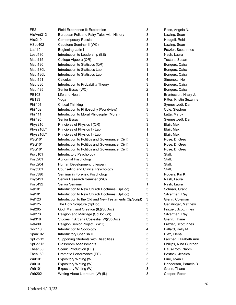| FE <sub>2</sub>     | Field Experience II: Exploration                      | 3              | Rose, Angela N.         |
|---------------------|-------------------------------------------------------|----------------|-------------------------|
| His/Ant312          | European Folk and Fairy Tales with History            | 3              | Lawing, Sean            |
| <b>Hist219</b>      | <b>Contemporary Russia</b>                            | 3              | Hodgell, Reid           |
| HSoc402             | Capstone Seminar II (WC)                              | 3              | Lawing, Sean            |
| Lat110              | Beginning Latin I                                     | 3              | Frazier, Scott Innes    |
| Lead130             | Introduction to Leadership (EE)                       | 3              | Nash, Laura             |
| Math115             | College Algebra (QR)                                  | 3              | Testani, Susan          |
| Math130             | Introduction to Statistics (QR)                       | 3              | Bongers, Caira          |
| Math130L            | Introduction to Statistics Lab                        | 1              | Bongers, Caira          |
| Math130L            | Introduction to Statistics Lab                        | 1              | Bongers, Caira          |
| Math <sub>151</sub> | Calculus II                                           | 4              | Simonetti, Neil         |
| Math330             | Introduction to Probability Theory                    | 3              | Bongers, Caira          |
| Math495             | Senior Essay (WC)                                     | $\overline{c}$ | Bongers, Caira          |
| PE103               | Life and Health                                       | $\mathbf{1}$   | Bryntesson, Hilary J.   |
| PE133               | Yoga                                                  | 1              | Ritter, Kristin Suzanne |
| <b>Phil101</b>      | <b>Critical Thinking</b>                              | 3              | Synnestvedt, Dan        |
| <b>Phil102</b>      | Introduction to Philosophy (Worldview)                | 3              | Cole, Stephen           |
| <b>Phil111</b>      | Introduction to Moral Philosophy (Moral)              | 3              | Latta, Marcy            |
| <b>Phil495</b>      | Senior Essay                                          | 3              | Synnestvedt, Dan        |
| Phys210             | Principles of Physics I (QR)                          | 3              | Blair, Max              |
| Phys210L*           | Principles of Physics I - Lab                         | 1              | Blair, Max              |
| Phys210L*           | Principles of Physics I - Lab                         | 1              | Blair, Max              |
| <b>PSci101</b>      | Introduction to Politics and Governance (Civil)       | 3              | Rose, D. Greg           |
| PSci101             | Introduction to Politics and Governance (Civil)       | 3              | Rose, D. Greg           |
| <b>PSci101</b>      | Introduction to Politics and Governance (Civil)       | 3              | Rose, D. Greg           |
| Psyc101             | Introductory Psychology                               | 3              | Staff,                  |
| Psyc201             | Abnormal Psychology                                   | 3              | Staff,                  |
| Psyc204             | Human Development: Lifespan                           | 3              | Staff,                  |
| Psyc301             | Counseling and Clinical Psychology                    | 3              | Staff,                  |
| Psyc380             | Seminar in Forensic Psychology                        | 3              | Rogers, Kiri K.         |
| Psyc491             | Senior Research Seminar (WC)                          | 3              | Nash, Laura             |
| Psyc492             | Senior Seminar                                        | 1              | Nash, Laura             |
| <b>Rel101</b>       | Introduction to New Church Doctrines (SpDoc)          | 3              | Schnarr, Grant          |
| <b>Rel101</b>       | Introduction to New Church Doctrines (SpDoc)          | 3              | Silverman, Ray          |
| <b>Rel123</b>       | Introduction to the Old and New Testaments (SpScript) | 3              | Glenn, Coleman          |
| <b>Rel125</b>       | The Holy Scripture (SpDoc)                            | 3              | Genzlinger, Matthew     |
| <b>Rel205</b>       | God, Man, and Creation (IL)(SpDoc)                    | 3              | Frazier, Scott Innes    |
| <b>Rel273</b>       | Religion and Marriage (SpDoc)(W)                      | 3              | Silverman, Ray          |
| <b>Rel310</b>       | Studies in Arcana Coelestia (W)(SpDoc)                | 3              | Glenn, Thane            |
| <b>Rel490</b>       | Religion Senior Project I (WC)                        | 3              | Frazier, Scott Innes    |
| Soc110              | Introduction to Sociology                             | 4              | Ballard, Kelly M.       |
| Span102             | Introductory Spanish II                               | 3              | Diaz, Elena             |
| SpEd212             | Supporting Students with Disabilities                 | 3              | Larcher, Elizabeth Ann  |
| SpEd312             | <b>Classroom Assessments</b>                          | 3              | Phillips, Nina Gunther  |
| Thea130             | Scenic Production (EE)                                | 3              | Haus-Roth, Naomi        |
| Thea150             | Dramatic Performance (EE)                             | 3              | Bostock, Jessica        |
| Writ101             | Expository Writing (W)                                | 3              | Pine, Ryan E.           |
| Writ101             | Expository Writing (W)                                | 3              | Henderson, Pamela D.    |
| Writ101             | Expository Writing (W)                                | 3              | Glenn, Thane            |
| Writ202             | Writing About Literature (W) (IL)                     | 3              | Cooper, Robin           |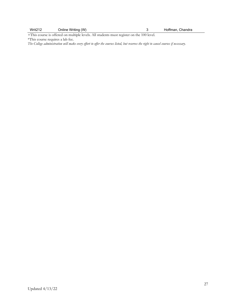| Writ <sub>212</sub> | Online Writing (W) | Hoffman, Chandra |
|---------------------|--------------------|------------------|
|                     |                    |                  |

+This course is offered on multiple levels. All students must register on the 100 level. \*This course requires a lab fee.

*The College administration will make every effort to offer the courses listed, but reserves the right to cancel courses if necessary.*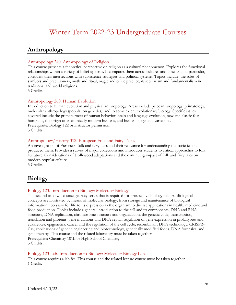### Winter Term 2022-23 Undergraduate Courses

### <span id="page-27-1"></span><span id="page-27-0"></span>**Anthropology**

#### Anthropology 240. Anthropology of Religion.

This course presents a theoretical perspective on religion as a cultural phenomenon. Explores the functional relationships within a variety of belief systems. It compares them across cultures and time, and, in particular, considers their intersections with subsistence strategies and political systems. Topics include: the roles of symbols and practitioners, myth and ritual, magic and cultic practice, & secularism and fundamentalism in traditional and world religions.

3 Credits.

#### Anthropology 260. Human Evolution.

Introduction to human evolution and physical anthropology. Areas include paleoanthropology, primatology, molecular anthropology (population genetics), and to some extent evolutionary biology. Specific issues covered include the primate roots of human behavior, brain and language evolution, new and classic fossil hominids, the origin of anatomically modern humans, and human biogenetic variations. Prerequisite: Biology 122 or instructor permission. 3 Credits.

#### Anthropology/History 312. European Folk and Fairy Tales.

An investigation of European folk and fairy tales and their relevance for understanding the societies that produced them. Provides a survey of major collections and introduces students to critical approaches to folk literature. Considerations of Hollywood adaptations and the continuing impact of folk and fairy tales on modern popular culture.

3 Credits.

### <span id="page-27-2"></span>**Biology**

#### Biology 123. Introduction to Biology: Molecular Biology.

The second of a two-course gateway series that is required for prospective biology majors. Biological concepts are illustrated by means of molecular biology, from storage and maintenance of biological information necessary for life to its expression in the organism to diverse applications in health, medicine and food production. Topics include a general introduction to the cell and its components, DNA and RNA structure, DNA replication, chromosome structure and organization, the genetic code, transcription, translation and proteins, gene mutations and DNA repair, regulation of gene expression in prokaryotes and eukaryotes, epigenetics, cancer and the regulation of the cell cycle, recombinant DNA technology, CRISPR-Cas, applications of genetic engineering and biotechnology, genetically modified foods, DNA forensics, and gene therapy. This course and the related laboratory must be taken together. Prerequisite: Chemistry 101L or High School Chemistry. 3 Credits.

#### Biology 123 Lab. Introduction to Biology: Molecular Biology Lab.

This course requires a lab fee. This course and the related lecture course must be taken together. 1 Credit.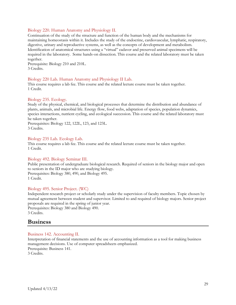#### Biology 220. Human Anatomy and Physiology II.

Continuation of the study of the structure and function of the human body and the mechanisms for maintaining homeostasis within it. Includes the study of the endocrine, cardiovascular, lymphatic, respiratory, digestive, urinary and reproductive systems, as well as the concepts of development and metabolism. Identification of anatomical structures using a "virtual" cadaver and preserved animal specimens will be required in the laboratory. Some hands-on dissection. This course and the related laboratory must be taken together.

Prerequisite: Biology 210 and 210L. 3 Credits.

#### Biology 220 Lab. Human Anatomy and Physiology II Lab.

This course requires a lab fee. This course and the related lecture course must be taken together. 1 Credit.

#### Biology 235. Ecology.

Study of the physical, chemical, and biological processes that determine the distribution and abundance of plants, animals, and microbial life. Energy flow, food webs, adaptation of species, population dynamics, species interactions, nutrient cycling, and ecological succession. This course and the related laboratory must be taken together.

Prerequisites: Biology 122, 122L, 123, and 123L. 3 Credits.

#### Biology 235 Lab. Ecology Lab.

This course requires a lab fee. This course and the related lecture course must be taken together. 1 Credit.

#### Biology 492. Biology Seminar III.

Public presentation of undergraduate biological research. Required of seniors in the biology major and open to seniors in the ID major who are studying biology. Prerequisites: Biology 380, 490, and Biology 495. 1 Credit.

#### Biology 495. Senior Project. (WC)

Independent research project or scholarly study under the supervision of faculty members. Topic chosen by mutual agreement between student and supervisor. Limited to and required of biology majors. Senior project proposals are required in the spring of junior year. Prerequisites: Biology 380 and Biology 490. 3 Credits.

### <span id="page-28-0"></span>**Business**

#### Business 142. Accounting II.

Interpretation of financial statements and the use of accounting information as a tool for making business management decisions. Use of computer spreadsheets emphasized. Prerequisite: Business 141. 3 Credits.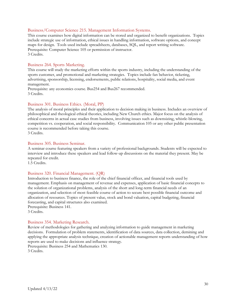#### Business/Computer Science 215. Management Information Systems.

This course examines how digital information can be stored and organized to benefit organizations. Topics include strategic use of information, ethical issues in handling information, software options, and concept maps for design. Tools used include spreadsheets, databases, SQL, and report writing software. Prerequisite: Computer Science 105 or permission of instructor. 3 Credits.

#### Business 264. Sports Marketing.

This course will study the marketing efforts within the sports industry, including the understanding of the sports customer, and promotional and marketing strategies. Topics include fan behavior, ticketing, advertising, sponsorship, licensing, endorsements, public relations, hospitality, social media, and event management.

Prerequisite: any economics course. Bus254 and Bus267 recommended. 3 Credits.

#### Business 301. Business Ethics. (Moral, PP)

The analysis of moral principles and their application to decision making in business. Includes an overview of philosophical and theological ethical theories, including New Church ethics. Major focus on the analysis of ethical concerns in actual case studies from business, involving issues such as downsizing, whistle-blowing, competition vs. cooperation, and social responsibility. Communication 105 or any other public presentation course is recommended before taking this course. 3 Credits.

#### Business 305. Business Seminar.

A seminar course featuring speakers from a variety of professional backgrounds. Students will be expected to interview and introduce these speakers and lead follow-up discussions on the material they present. May be repeated for credit.

1.5 Credits.

#### Business 320. Financial Management. (QR)

Introduction to business finance, the role of the chief financial officer, and financial tools used by management. Emphasis on management of revenue and expenses, application of basic financial concepts to the solution of organizational problems, analysis of the short and long-term financial needs of an organization, and selection of most feasible course of action to secure best possible financial outcome and allocation of resources. Topics of present value, stock and bond valuation, capital budgeting, financial forecasting, and capital structures also examined. Prerequisite: Business 141.

3 Credits.

#### Business 354. Marketing Research.

Review of methodologies for gathering and analyzing information to guide management in marketing decisions. Formulation of problem statements, identification of data sources, data collection, demining and applying the appropriate analysis technique, creation of actionable management reports understanding of how reports are used to make decisions and influence strategy. Prerequisite: Business 254 and Mathematics 130.

3 Credits.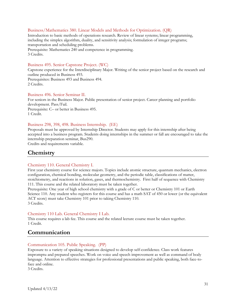#### Business/Mathematics 380. Linear Models and Methods for Optimization. (QR)

Introduction to basic methods of operations research. Review of linear systems; linear programming, including the simplex algorithm, duality, and sensitivity analysis; formulation of integer programs; transportation and scheduling problems.

Prerequisite: Mathematics 240 and competence in programming. 3 Credits.

#### Business 495. Senior Capstone Project. (WC)

Capstone experience for the Interdisciplinary Major. Writing of the senior project based on the research and outline produced in Business 493. Prerequisites: Business 493 and Business 494. 2 Credits.

#### Business 496. Senior Seminar II.

For seniors in the Business Major. Public presentation of senior project. Career planning and portfolio development. Pass/Fail. Prerequisite: C– or better in Business 495. 1 Credit.

#### Business 298, 398, 498. Business Internship. (EE)

Proposals must be approved by Internship Director. Students may apply for this internship after being accepted into a business program. Students doing internships in the summer or fall are encouraged to take the internship preparation seminar, Bus290.

<span id="page-30-0"></span>Credits and requirements variable.

### **Chemistry**

#### Chemistry 110. General Chemistry I.

First year chemistry course for science majors. Topics include atomic structure, quantum mechanics, electron configuration, chemical bonding, molecular geometry, and the periodic table, classifications of matter, stoichiometry, and reactions in solution, gases, and thermochemistry. First half of sequence with Chemistry 111. This course and the related laboratory must be taken together.

Prerequisite: One year of high school chemistry with a grade of C or better or Chemistry 101 or Earth Science 110. Any student who registers for this course and has a math SAT of 450 or lower (or the equivalent ACT score) must take Chemistry 101 prior to taking Chemistry 110. 3 Credits.

#### Chemistry 110 Lab. General Chemistry I Lab.

This course requires a lab fee. This course and the related lecture course must be taken together. 1 Credit.

#### <span id="page-30-1"></span>**Communication**

#### Communication 105. Public Speaking. (PP)

Exposure to a variety of speaking situations designed to develop self-confidence. Class work features impromptu and prepared speeches. Work on voice and speech improvement as well as command of body language. Attention to effective strategies for professional presentations and public speaking, both face-toface and online.

3 Credits.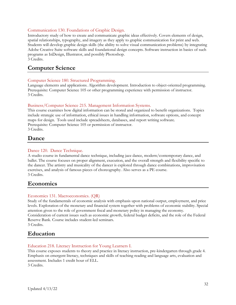#### Communication 130. Foundations of Graphic Design.

Introductory study of how to create and communicate graphic ideas effectively. Covers elements of design, spatial relationships, typography, and imagery as they apply to graphic communication for print and web. Students will develop graphic design skills (the ability to solve visual communication problems) by integrating Adobe Creative Suite software skills and foundational design concepts. Software instruction in basics of such programs as InDesign, Illustrator, and possibly Photoshop. 3 Credits.

### <span id="page-31-0"></span>**Computer Science**

#### Computer Science 180. Structured Programming.

Language elements and applications. Algorithm development. Introduction to object-oriented programming. Prerequisite: Computer Science 105 or other programming experience with permission of instructor. 3 Credits.

#### Business/Computer Science 215. Management Information Systems.

This course examines how digital information can be stored and organized to benefit organizations. Topics include strategic use of information, ethical issues in handling information, software options, and concept maps for design. Tools used include spreadsheets, databases, and report writing software. Prerequisite: Computer Science 105 or permission of instructor. 3 Credits.

### <span id="page-31-1"></span>**Dance**

#### Dance 120. Dance Technique.

A studio course in fundamental dance technique, including jazz dance, modern/contemporary dance, and ballet. The course focuses on proper alignment, execution, and the overall strength and flexibility specific to the dancer. The artistry and musicality of the dancer is explored through dance combinations, improvisation exercises, and analysis of famous pieces of choreography. Also serves as a PE course. 3 Credits.

### <span id="page-31-2"></span>**Economics**

#### Economics 131. Macroeconomics. (QR)

Study of the fundamentals of economic analysis with emphasis upon national output, employment, and price levels. Exploration of the monetary and financial system together with problems of economic stability. Special attention given to the role of government fiscal and monetary policy in managing the economy. Consideration of current issues such as economic growth, federal budget deficits, and the role of the Federal Reserve Bank. Course includes student-led seminars. 3 Credits.

### <span id="page-31-3"></span>**Education**

#### Education 218. Literacy Instruction for Young Learners I.

This course exposes students to theory and practice in literacy instruction, pre-kindergarten through grade 4. Emphasis on emergent literacy, techniques and skills of teaching reading and language arts, evaluation and assessment. Includes 1 credit hour of ELL. 3 Credits.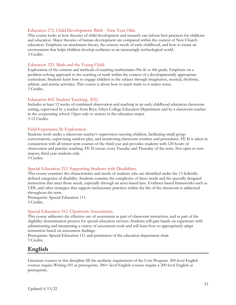#### Education 272. Child Development: Birth - Nine Year Olds.

This course looks at how theories of child development and research can inform best practices for childcare and education. Major theories of human development are compared within the context of New Church education. Emphasis on attachment theory, the sensory needs of early childhood, and how to create an environment that helps children develop resilience in an increasingly technological world. 3 Credits.

#### Education 323. Math and the Young Child.

Exploration of the content and methods of teaching mathematics Pre-K to 4th grade. Emphasis on a problem-solving approach to the teaching of math within the context of a developmentally appropriate curriculum. Students learn how to engage children in the subject through imaginative, musical, rhythmic, athletic, and artistic activities. This course is about how to teach math so it makes sense. 3 Credits.

#### Education 402. Student Teaching. (EE)

Includes at least 12 weeks of combined observation and teaching in an early childhood education classroom setting, supervised by a teacher from Bryn Athyn College Education Department and by a classroom teacher in the cooperating school. Open only to seniors in the education major. 3-12 Credits.

#### Field Experience II: Exploration.

Students work under a classroom teacher's supervision tutoring children, facilitating small group conversations, supervising outdoor play, and monitoring classroom routines and procedures. FE II is taken in conjunction with all winter term courses of the third year and provides students with 120 hours of observation and practice teaching. FE II occurs every Tuesday and Thursday of the term. Not open to nonmajors; third-year students only.

3 Credits.

#### Special Education 212. Supporting Students with Disabilities.

This course examines the characteristics and needs of students who are identified under the 13 federallydefined categories of disability. Students examine the complexity of these needs and the specially designed instruction that meet those needs, especially through an asset-based lens. Evidence-based frameworks such as UDL and other strategies that support inclusionary practices within the life of the classroom is addressed throughout the term.

Prerequisite: Special Education 111. 3 Credits.

#### Special Education 312. Classroom Assessments.

This course addresses the effective use of assessment as part of classroom instruction, and as part of the eligibility determination process for special education services. Students will gain hands-on experience with administering and interpreting a variety of assessment tools and will learn how to appropriately adapt instruction based on assessment findings.

Prerequisite: Special Education 111 and permission of the education department chair. 3 Credits.

### <span id="page-32-0"></span>**English**

Literature courses in this discipline fill the aesthetic requirement of the Core Program. 200-level English courses require Writing 101 as prerequisite. 300+-level English courses require a 200-level English as prerequisite.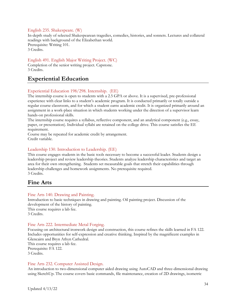#### English 235. Shakespeare. (W)

In-depth study of selected Shakespearean tragedies, comedies, histories, and sonnets. Lectures and collateral readings with background of the Elizabethan world. Prerequisite: Writing 101. 3 Credits.

#### English 491. English Major Writing Project. (WC)

Completion of the senior writing project. Capstone. 3 Credits.

### <span id="page-33-0"></span>**Experiential Education**

#### Experiential Education 198/298. Internship. (EE)

The internship course is open to students with a 2.5 GPA or above. It is a supervised, pre-professional experience with clear links to a student's academic program. It is conducted primarily or totally outside a regular course classroom, and for which a student earns academic credit. It is organized primarily around an assignment in a work-place situation in which students working under the direction of a supervisor learn hands-on professional skills.

The internship course requires a syllabus, reflective component, and an analytical component (e.g., essay, paper, or presentation). Individual syllabi are retained on the college drive. This course satisfies the EE requirement.

Course may be repeated for academic credit by arrangement. Credit variable.

#### Leadership 130. Introduction to Leadership. (EE)

This course engages students in the basic tools necessary to become a successful leader. Students design a leadership project and review leadership theories. Students analyze leadership characteristics and target an area for their own strengthening. Students set measurable goals that stretch their capabilities through leadership challenges and homework assignments. No prerequisite required. 3 Credits.

### <span id="page-33-1"></span>**Fine Arts**

#### Fine Arts 140. Drawing and Painting.

Introduction to basic techniques in drawing and painting. Oil painting project. Discussion of the development of the history of painting. This course requires a lab fee. 3 Credits.

#### Fine Arts 222. Intermediate Metal Forging.

Focusing on architectural ironwork design and construction, this course refines the skills learned in FA 122. Includes opportunities for self-expression and creative thinking. Inspired by the magnificent examples in Glencairn and Bryn Athyn Cathedral.

This course requires a lab fee. Prerequisite: FA 122. 3 Credits.

#### Fine Arts 232. Computer Assisted Design.

An introduction to two-dimensional computer aided drawing using AutoCAD and three-dimensional drawing using SketchUp. The course covers basic commands, file maintenance, creation of 2D drawings, isometric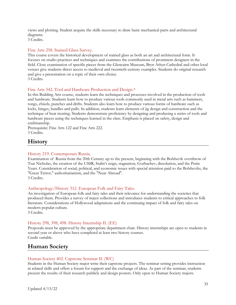views and plotting. Student acquire the skills necessary to draw basic mechanical parts and architectural diagrams.

3 Credits.

#### Fine Arts 258. Stained Glass Survey.

This course covers the historical development of stained glass as both an art and architectural form. It focuses on studio practices and techniques and examines the contributions of prominent designers in the field. Close examination of specific pieces from the Glencairn Museum, Bryn Athyn Cathedral and other local venues give students direct access to medieval and twentieth-century examples. Students do original research and give a presentation on a topic of their own choice. 3 Credits.

#### Fine Arts 342. Tool and Hardware Production and Design.\*

In this Building Arts course, students learn the techniques and processes involved in the production of tools and hardware. Students learn how to produce various tools commonly used in metal arts such as hammers, tongs, chisels, punches and drifts. Students also learn how to produce various forms of hardware such as locks, hinges, handles and pulls. In addition, students learn elements of jig design and construction and the technique of heat treating. Students demonstrate proficiency by designing and producing a series of tools and hardware pieces using the techniques learned in the class. Emphasis is placed on safety, design and craftmanship.

Prerequisite: Fine Arts 122 and Fine Arts 222. 3 Credits.

### <span id="page-34-0"></span>**History**

#### History 219. Contemporary Russia.

Examination of Russia from the 20th Century up to the present, beginning with the Bolshevik overthrow of Tsar Nicholas, the creation of the USSR, Stalin's reign, stagnation, Gorbachev, dissolution, and the Putin Years. Consideration of social, political, and economic issues with special attention paid to the Bolsheviks, the "Great Terror," authoritarianism, and the "Near Abroad". 3 Credits.

#### Anthropology/History 312. European Folk and Fairy Tales.

An investigation of European folk and fairy tales and their relevance for understanding the societies that produced them. Provides a survey of major collections and introduces students to critical approaches to folk literature. Considerations of Hollywood adaptations and the continuing impact of folk and fairy tales on modern popular culture.

3 Credits.

#### History 298, 398, 498. History Internship II. (EE)

Proposals must be approved by the appropriate department chair. History internships are open to students in second year or above who have completed at least two history courses. Credit variable.

### <span id="page-34-1"></span>**Human Society**

#### Human Society 402. Capstone Seminar II. (WC)

Students in the Human Society major write their capstone projects. The seminar setting provides instruction in related skills and offers a forum for support and the exchange of ideas. As part of the seminar, students present the results of their research publicly and design posters. Only open to Human Society majors.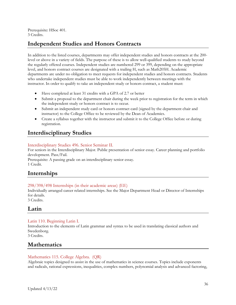Prerequisite: HSoc 401. 3 Credits.

### <span id="page-35-0"></span>**Independent Studies and Honors Contracts**

In addition to the listed courses, departments may offer independent studies and honors contracts at the 200 level or above in a variety of fields. The purpose of these is to allow well-qualified students to study beyond the regularly offered courses. Independent studies are numbered 299 or 399, depending on the appropriate level, and honors contract courses are designated with a trailing H, such as Math205H. Academic departments are under no obligation to meet requests for independent studies and honors contracts. Students who undertake independent studies must be able to work independently between meetings with the instructor. In order to qualify to take an independent study or honors contract, a student must:

- Have completed at least 31 credits with a GPA of 2.7 or better
- Submit a proposal to the department chair during the week prior to registration for the term in which the independent study or honors contract is to occur.
- Submit an independent study card or honors contract card (signed by the department chair and instructor) to the College Office to be reviewed by the Dean of Academics.
- Create a syllabus together with the instructor and submit it to the College Office before or during registration.

### <span id="page-35-1"></span>**Interdisciplinary Studies**

#### Interdisciplinary Studies 496. Senior Seminar II.

For seniors in the Interdisciplinary Major. Public presentation of senior essay. Career planning and portfolio development. Pass/Fail.

Prerequisite: A passing grade on an interdisciplinary senior essay. 1 Credit.

### <span id="page-35-2"></span>**Internships**

#### 298/398/498 Internships (in their academic areas) (EE)

Individually arranged career related internships. See the Major Department Head or Director of Internships for details.

3 Credits.

### <span id="page-35-3"></span>**Latin**

#### Latin 110. Beginning Latin I.

Introduction to the elements of Latin grammar and syntax to be used in translating classical authors and Swedenborg.

3 Credits.

### <span id="page-35-4"></span>**Mathematics**

#### Mathematics 115. College Algebra. (QR)

Algebraic topics designed to assist in the use of mathematics in science courses. Topics include exponents and radicals, rational expressions, inequalities, complex numbers, polynomial analysis and advanced factoring,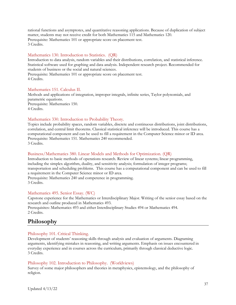rational functions and asymptotes, and quantitative reasoning applications. Because of duplication of subject matter, students may not receive credit for both Mathematics 115 and Mathematics 120. Prerequisite: Mathematics 101 or appropriate score on placement test. 3 Credits.

#### Mathematics 130. Introduction to Statistics. (QR)

Introduction to data analysis, random variables and their distributions, correlation, and statistical inference. Statistical software used for graphing and data analysis. Independent research project. Recommended for students of business or the social and natural sciences.

Prerequisite: Mathematics 101 or appropriate score on placement test. 4 Credits.

#### Mathematics 151. Calculus II.

Methods and applications of integration, improper integrals, infinite series, Taylor polynomials, and parametric equations. Prerequisite: Mathematics 150. 4 Credits.

#### Mathematics 330. Introduction to Probability Theory.

Topics include probability spaces, random variables, discrete and continuous distributions, joint distributions, correlation, and central limit theorems. Classical statistical inference will be introduced. This course has a computational component and can be used to fill a requirement in the Computer Science minor or ID area. Prerequisite: Mathematics 151. Mathematics 240 recommended. 3 Credits.

#### Business/Mathematics 380. Linear Models and Methods for Optimization. (QR)

Introduction to basic methods of operations research. Review of linear systems; linear programming, including the simplex algorithm, duality, and sensitivity analysis; formulation of integer programs; transportation and scheduling problems. This course has a computational component and can be used to fill a requirement in the Computer Science minor or ID area. Prerequisite: Mathematics 240 and competence in programming. 3 Credits.

#### Mathematics 495. Senior Essay. (WC)

Capstone experience for the Mathematics or Interdisciplinary Major. Writing of the senior essay based on the research and outline produced in Mathematics 493. Prerequisites: Mathematics 493 and either Interdisciplinary Studies 494 or Mathematics 494. 2 Credits.

### <span id="page-36-0"></span>**Philosophy**

#### Philosophy 101. Critical Thinking.

Development of students' reasoning skills through analysis and evaluation of arguments. Diagraming arguments, identifying mistakes in reasoning, and writing arguments. Emphasis on issues encountered in everyday experience and in courses across the curriculum, primarily through classical deductive logic. 3 Credits.

#### Philosophy 102. Introduction to Philosophy. (Worldviews)

Survey of some major philosophers and theories in metaphysics, epistemology, and the philosophy of religion.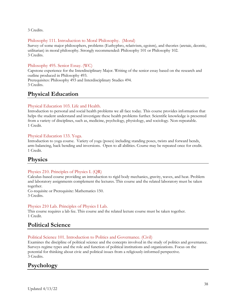3 Credits.

#### Philosophy 111. Introduction to Moral Philosophy. (Moral)

Survey of some major philosophers, problems (Euthyphro, relativism, egoism), and theories (aretaic, deontic, utilitarian) in moral philosophy. Strongly recommended: Philosophy 101 or Philosophy 102. 3 Credits.

#### Philosophy 495. Senior Essay. (WC)

Capstone experience for the Interdisciplinary Major. Writing of the senior essay based on the research and outline produced in Philosophy 493.

Prerequisites: Philosophy 493 and Interdisciplinary Studies 494. 3 Credits.

### <span id="page-37-0"></span>**Physical Education**

#### Physical Education 103. Life and Health.

Introduction to personal and social health problems we all face today. This course provides information that helps the student understand and investigate these health problems further. Scientific knowledge is presented from a variety of disciplines, such as, medicine, psychology, physiology, and sociology. Non-repeatable. 1 Credit.

#### Physical Education 133. Yoga.

Introduction to yoga course. Variety of yoga (poses) including standing poses, twists and forward bends, arm-balancing, back bending and inversions. Open to all abilities. Course may be repeated once for credit. 1 Credit.

### <span id="page-37-1"></span>**Physics**

#### Physics 210. Principles of Physics I. (QR)

Calculus-based course providing an introduction to rigid body mechanics, gravity, waves, and heat. Problem and laboratory assignments complement the lectures. This course and the related laboratory must be taken together.

Co-requisite or Prerequisite: Mathematics 150. 3 Credits.

#### Physics 210 Lab. Principles of Physics I Lab.

This course requires a lab fee. This course and the related lecture course must be taken together. 1 Credit.

### <span id="page-37-2"></span>**Political Science**

#### Political Science 101. Introduction to Politics and Governance. (Civil)

Examines the discipline of political science and the concepts involved in the study of politics and governance. Surveys regime types and the role and function of political institutions and organizations. Focus on the potential for thinking about civic and political issues from a religiously-informed perspective. 3 Credits.

### <span id="page-37-3"></span>**Psychology**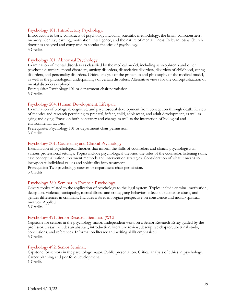#### Psychology 101. Introductory Psychology.

Introduction to basic constructs of psychology including scientific methodology, the brain, consciousness, memory, identity, learning, motivation, intelligence, and the nature of mental illness. Relevant New Church doctrines analyzed and compared to secular theories of psychology. 3 Credits.

#### Psychology 201. Abnormal Psychology.

Examination of mental disorders as classified by the medical model, including schizophrenia and other psychotic disorders, mood disorders, anxiety disorders, dissociative disorders, disorders of childhood, eating disorders, and personality disorders. Critical analysis of the principles and philosophy of the medical model, as well as the physiological underpinnings of certain disorders. Alternative views for the conceptualization of mental disorders explored.

Prerequisite: Psychology 101 or department chair permission. 3 Credits.

#### Psychology 204. Human Development: Lifespan.

Examination of biological, cognitive, and psychosocial development from conception through death. Review of theories and research pertaining to prenatal, infant, child, adolescent, and adult development, as well as aging and dying. Focus on both constancy and change as well as the interaction of biological and environmental factors.

Prerequisite: Psychology 101 or department chair permission. 3 Credits.

#### Psychology 301. Counseling and Clinical Psychology.

Examination of psychological theories that inform the skills of counselors and clinical psychologists in various professional settings. Topics include psychological theories, the roles of the counselor, listening skills, case conceptualization, treatment methods and intervention strategies. Consideration of what it means to incorporate individual values and spirituality into treatment.

Prerequisite: Two psychology courses or department chair permission. 3 Credits.

#### Psychology 380. Seminar in Forensic Psychology.

Covers topics related to the application of psychology to the legal system. Topics include criminal motivation, deception, violence, sociopathy, mental illness and crime, gang behavior, effects of substance abuse, and gender differences in criminals. Includes a Swedenborgian perspective on conscience and moral/spiritual motives. Applied.

3 Credits.

#### Psychology 491. Senior Research Seminar. (WC)

Capstone for seniors in the psychology major. Independent work on a Senior Research Essay guided by the professor. Essay includes an abstract, introduction, literature review, descriptive chapter, doctrinal study, conclusions, and references. Information literacy and writing skills emphasized. 3 Credits.

#### Psychology 492. Senior Seminar.

Capstone for seniors in the psychology major. Public presentation. Critical analysis of ethics in psychology. Career planning and portfolio development. 1 Credit.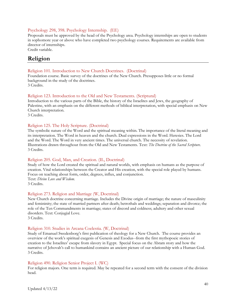#### Psychology 298, 398. Psychology Internship. (EE)

Proposals must be approved by the head of the Psychology area. Psychology internships are open to students in sophomore year or above who have completed two psychology courses. Requirements are available from director of internships.

Credit variable.

### <span id="page-39-0"></span>**Religion**

#### Religion 101. Introduction to New Church Doctrines. (Doctrinal)

Foundation course. Basic survey of the doctrines of the New Church. Presupposes little or no formal background in the study of the doctrines. 3 Credits.

#### Religion 123. Introduction to the Old and New Testaments. (Scriptural)

Introduction to the various parts of the Bible, the history of the Israelites and Jews, the geography of Palestine, with an emphasis on the different methods of biblical interpretation, with special emphasis on New Church interpretation.

3 Credits.

#### Religion 125. The Holy Scripture. (Doctrinal)

The symbolic nature of the Word and the spiritual meaning within. The importance of the literal meaning and its interpretation. The Word in heaven and the church. Dual expressions in the Word. Heresies. The Lord and the Word. The Word in very ancient times. The universal church. The necessity of revelation. Illustrations drawn throughout from the Old and New Testaments. Text: *The Doctrine of the Sacred Scripture*. 3 Credits.

#### Religion 205. God, Man, and Creation. (IL, Doctrinal)

Study of how the Lord created the spiritual and natural worlds, with emphasis on humans as the purpose of creation. Vital relationships between the Creator and His creation, with the special role played by humans. Focus on teaching about form, order, degrees, influx, and conjunction. Text: *Divine Love and Wisdom*. 3 Credits.

#### Religion 273. Religion and Marriage (W, Doctrinal)

New Church doctrine concerning marriage. Includes the Divine origin of marriage; the nature of masculinity and femininity; the state of married partners after death; betrothals and weddings; separation and divorce; the role of the Ten Commandments in marriage; states of discord and coldness; adultery and other sexual disorders. Text: Conjugial Love.

3 Credits.

#### Religion 310. Studies in Arcana Coelestia. (W, Doctrinal)

Study of Emanuel Swedenborg's first publication of theology for a New Church. The course provides an overview of the work's spiritual exegesis of Genesis and Exodus--from the first mythopoeic stories of creation to the Israelites' escape from slavery in Egypt. Special focus on the Abram story and how the narrative of Jehovah's call to humankind contains an ancient picture of our relationship with a Human God. 3 Credits.

#### Religion 490. Religion Senior Project I. (WC)

For religion majors. One term is required. May be repeated for a second term with the consent of the division head.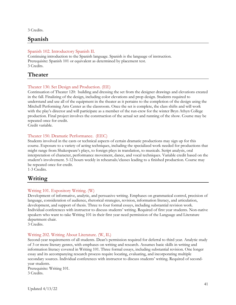3 Credits.

### <span id="page-40-0"></span>**Spanish**

#### Spanish 102. Introductory Spanish II.

Continuing introduction to the Spanish language. Spanish is the language of instruction. Prerequisite: Spanish 101 or equivalent as determined by placement test. 3 Credits.

### <span id="page-40-1"></span>**Theater**

#### Theater 130. Set Design and Production. (EE)

Continuation of Theater 120: building and dressing the set from the designer drawings and elevations created in the fall. Finalizing of the design, including color elevations and prop design. Students required to understand and use all of the equipment in the theater as it pertains to the completion of the design using the Mitchell Performing Arts Center as the classroom. Once the set is complete, the class shifts and will work with the play's director and will participate as a member of the run-crew for the winter Bryn Athyn College production. Final project involves the construction of the actual set and running of the show. Course may be repeated once for credit.

Credit variable.

#### Theater 150. Dramatic Performance. (EEC)

Students involved in the casts or technical aspects of certain dramatic productions may sign up for this course. Exposure to a variety of acting techniques, including the specialized work needed for productions that might range from Shakespeare's plays, to foreign plays in translation, to musicals. Script analysis, oral interpretation of character, performance movement, dance, and vocal techniques. Variable credit based on the student's involvement. 5-12 hours weekly in rehearsals/classes leading to a finished production. Course may be repeated once for credit.

1-3 Credits.

### <span id="page-40-2"></span>**Writing**

#### Writing 101. Expository Writing. (W)

Development of informative, analytic, and persuasive writing. Emphases on grammatical control, precision of language, consideration of audience, rhetorical strategies, revision, information literacy, and articulation, development, and support of thesis. Three to four formal essays, including substantial revision work. Individual conferences with instructor to discuss students' writing. Required of first year students. Non-native speakers who want to take Writing 101 in their first year need permission of the Language and Literature department chair.

3 Credits.

#### Writing 202. Writing About Literature. (W, IL)

Second-year requirements of all students. Dean's permission required for deferral to third year. Analytic study of 3 or more literary genres, with emphases on writing and research. Assumes basic skills in writing and information literacy covered in Writing 101. Three formal essays, including substantial revision. One longer essay and its accompanying research process require locating, evaluating, and incorporating multiple secondary sources. Individual conferences with instructor to discuss students' writing. Required of secondyear students.

Prerequisite: Writing 101. 3 Credits.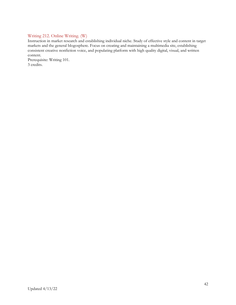#### Writing 212. Online Writing. (W)

Instruction in market research and establishing individual niche. Study of effective style and content in target markets and the general blogosphere. Focus on creating and maintaining a multimedia site, establishing consistent creative nonfiction voice, and populating platform with high quality digital, visual, and written content.

Prerequisite: Writing 101. 3 credits.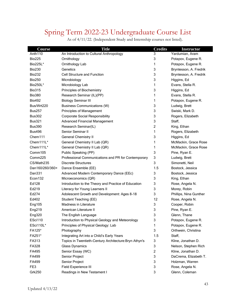## <span id="page-42-0"></span>Spring Term 2022-23 Undergraduate Course List

| <b>Course</b>       | <b>Title</b>                                           | <b>Credits</b> | <b>Instructor</b>      |
|---------------------|--------------------------------------------------------|----------------|------------------------|
| Anth <sub>110</sub> | An Introduction to Cultural Anthropology               | 3              | Yardumian, Aram        |
| <b>Bio225</b>       | Ornithology                                            | 3              | Potapov, Eugene R.     |
| Bio225L*            | Ornithology Lab                                        | 1              | Potapov, Eugene R.     |
| <b>Bio230</b>       | Genetics                                               | 3              | Bryntesson, A. Fredrik |
| <b>Bio232</b>       | Cell Structure and Function                            | 3              | Bryntesson, A. Fredrik |
| <b>Bio250</b>       | Microbiology                                           | 3              | Higgins, Ed            |
| Bio250L*            | Microbiology Lab                                       | 1              | Evans, Stella R.       |
| <b>Bio315</b>       | Principles of Biochemistry                             | 3              | Higgins, Ed            |
| <b>Bio380</b>       | Research Seminar (IL)(PP)                              | 1              | Evans, Stella R.       |
| <b>Bio492</b>       | <b>Biology Seminar III</b>                             | 1              | Potapov, Eugene R.     |
| Bus/Wrt220          | <b>Business Communications (W)</b>                     | 3              | Ludwig, Brett          |
| <b>Bus257</b>       | Principles of Management                               | 3              | Swiski, Mark D.        |
| <b>Bus302</b>       | <b>Corporate Social Responsibility</b>                 | 3              | Rogers, Elizabeth      |
| <b>Bus321</b>       | <b>Advanced Financial Management</b>                   | 3              | Staff,                 |
| <b>Bus390</b>       | Research Seminar(IL)                                   | $\overline{c}$ | King, Ethan            |
| <b>Bus496</b>       | Senior Seminar II                                      | 1              | Rogers, Elizabeth      |
| Chem111             | <b>General Chemistry II</b>                            | 3              | Higgins, Ed            |
| Chem111L*           | General Chemistry II Lab (QR)                          | 1              | McMackin, Grace Rose   |
| Chem111L*           | General Chemistry II Lab (QR)                          | 1              | McMackin, Grace Rose   |
| Comm105             | Public Speaking (PP)                                   | 3              | Pine, Ryan E.          |
| Comm225             | Professional Communications and PR for Contemporary    | 3              | Ludwig, Brett          |
| CS/Math235          | <b>Discrete Structures</b>                             | 3              | Simonetti, Neil        |
| Dan160/260/360+     | Dance Ensemble (EE)                                    | 1.5            | Bostock, Jessica       |
| Dan331              | Advanced Modern Contemporary Dance (EEc)               | 3              | Bostock, Jessica       |
| Econ132             | Microeconomics (QR)                                    | 3              | King, Ethan            |
| Ed128               | Introduction to the Theory and Practice of Education   | 3              | Rose, Angela N.        |
| Ed219               | Literacy for Young Learners II                         | 3              | Morey, Robin           |
| Ed274               | Adolescent Growth and Development: Ages 8-18           | 3              | Phillips, Nina Gunther |
| Ed402               | Student Teaching (EE)                                  | 12             | Rose, Angela N.        |
| Eng105              | Madness in Literature                                  | 3              | Cooper, Robin          |
| Eng219              | American Literature II                                 | 3              | Pine, Ryan E.          |
| Eng320              | The English Language                                   | 3              | Glenn, Thane           |
| ESci110             | Introduction to Physical Geology and Meteorology       | 3              | Potapov, Eugene R.     |
| ESci110L*           | Principles of Physical Geology: Lab                    | 1              | Potapov, Eugene R.     |
| FA125*              | Photography                                            | 3              | Orthwein, Christina    |
| FA251*              | Integrating Art into a Child's Early Years             | 1.5            | Staff,                 |
| FA313               | Topics in Twentieth-Century Architecture: Bryn Athyn's | 3              | Kline, Jonathan D.     |
| FA328               | <b>Glass Dynamics</b>                                  | 3              | Nelson, Stephen Rich   |
| FA495               | Senior Essay (WC)                                      | $\overline{c}$ | Kline, Jonathan D.     |
| FA499               | Senior Project                                         | 3              | DaCrema, Elizabeth T.  |
| FA499               | Senior Project                                         | 3              | Holzman, Warren        |
| FE3                 | Field Experience III                                   | 3              | Rose, Angela N.        |
| <b>Grk250</b>       | Readings in New Testament I                            | 3              | Glenn, Coleman         |

As of 4/11/22. (Independent Study and Internship courses not listed).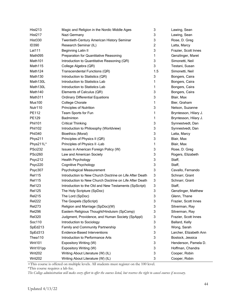| <b>Hist213</b>      | Magic and Religion in the Nordic Middle Ages            | 3   | Lawing, Sean           |
|---------------------|---------------------------------------------------------|-----|------------------------|
| Hist217             | Nazi Germany                                            | 3   | Lawing, Sean           |
| <b>Hist330</b>      | Twentieth-Century American History Seminar              | 3   | Rose, D. Greg          |
| <b>ID390</b>        | Research Seminar (IL)                                   | 2   | Latta, Marcy           |
| Lat111              | <b>Beginning Latin II</b>                               | 3   | Frazier, Scott Innes   |
| Math095             | Preparation for Quantitative Reasoning                  | 1   | Genzlinger, Maret      |
| Math101             | Introduction to Quantitative Reasoning (QR)             | 3   | Simonetti, Neil        |
| Math115             | College Algebra (QR)                                    | 3   | Testani, Susan         |
| Math <sub>124</sub> | Transcendental Functions (QR)                           | 1.5 | Simonetti, Neil        |
| Math130             | Introduction to Statistics (QR)                         | 3   | Bongers, Caira         |
| Math130L            | Introduction to Statistics Lab                          | 1   | Bongers, Caira         |
| Math130L            | Introduction to Statistics Lab                          | 1   | Bongers, Caira         |
| Math140             | Elements of Calculus (QR)                               | 3   | Bongers, Caira         |
| Math <sub>311</sub> | <b>Ordinary Differential Equations</b>                  | 3   | Blair, Max             |
| <b>Mus100</b>       | <b>College Chorale</b>                                  | 1   | Bier, Graham           |
| Nutr110             | Principles of Nutrition                                 | 3   | Nelson, Suzanne        |
| PE112               | Team Sports for Fun                                     | 1   | Bryntesson, Hilary J.  |
| PE129               | Badminton                                               | 1   | Bryntesson, Hilary J.  |
| Phil101             | <b>Critical Thinking</b>                                | 3   | Synnestvedt, Dan       |
| Phil102             | Introduction to Philosophy (Worldview)                  | 3   | Synnestvedt, Dan       |
| Phil340             | <b>Bioethics (Moral)</b>                                | 3   | Latta, Marcy           |
| Phys211             | Principles of Physics II (QR)                           | 3   | Blair, Max             |
| Phys211L*           | Principles of Physics II -Lab                           | 1   | Blair, Max             |
| <b>PSci232</b>      | Issues in American Foreign Policy (W)                   | 3   | Rose, D. Greg          |
| PSci260             | Law and American Society                                | 3   | Rogers, Elizabeth      |
| Psyc212             | Health Psychology                                       | 3   | Staff,                 |
| Psyc220             | <b>Cognitive Psychology</b>                             | 3   | Staff,                 |
| Psyc307             | Psychological Measurement                               | 3   | Cavallo, Fernando      |
| <b>Rel115</b>       | Introduction to New Church Doctrine on Life After Death | 3   | Schnarr, Grant         |
| <b>Rel115</b>       | Introduction to New Church Doctrine on Life After Death | 3   | Schnarr, Grant         |
| <b>Rel123</b>       | Introduction to the Old and New Testaments (SpScript)   | 3   | Staff,                 |
| <b>Rel125</b>       | The Holy Scripture (SpDoc)                              | 3   | Genzlinger, Matthew    |
| <b>Rel215</b>       | The Lord (SpDoc)                                        | 3   | Glenn, Thane           |
| <b>Rel222</b>       | The Gospels (SpScript)                                  | 3   | Frazier, Scott Innes   |
| <b>Rel273</b>       | Religion and Marriage (SpDoc)(W)                        | 3   | Silverman, Ray         |
| <b>Rel296</b>       | Eastern Religious Thought/Hinduism (SpComp)             | 3   | Silverman, Ray         |
| <b>Rel320</b>       | Judgment, Providence, and Human Society (SpAppl)        | 3   | Frazier, Scott Innes   |
| Soc110              | Introduction to Sociology                               | 3   | Ballard, Kelly         |
| SpEd213             | Family and Community Partnership                        | 3   | Wong, Sarah            |
| SpEd313             | <b>Evidence-Based Interventions</b>                     | 3   | Larcher, Elizabeth Ann |
| Thea110             | Introduction to Performance Arts                        | 3   | Bostock, Jessica       |
| Writ101             | Expository Writing (W)                                  | 3   | Henderson, Pamela D.   |
| Writ101pp           | Expository Writing (W)                                  | 3   | Hoffman, Chandra       |
| Writ202             | Writing About Literature (W) (IL)                       | 3   | Cooper, Robin          |
| Writ202             | Writing About Literature (W) (IL)                       | 3   | Cooper, Robin          |

+This course is offered on multiple levels. All students must register on the 100 level.

\*This course requires a lab fee.

*The College administration will make every effort to offer the courses listed, but reserves the right to cancel courses if necessary.*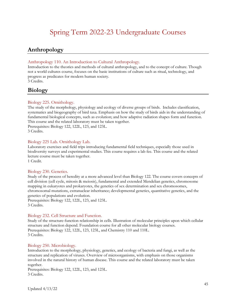### Spring Term 2022-23 Undergraduate Courses

### <span id="page-44-1"></span><span id="page-44-0"></span>**Anthropology**

#### Anthropology 110. An Introduction to Cultural Anthropology.

Introduction to the theories and methods of cultural anthropology, and to the concept of culture. Though not a world cultures course, focuses on the basic institutions of culture such as ritual, technology, and progress as predicates for modern human society. 3 Credits.

### <span id="page-44-2"></span>**Biology**

#### Biology 225. Ornithology.

The study of the morphology, physiology and ecology of diverse groups of birds. Includes classification, systematics and biogeography of bird taxa. Emphasis on how the study of birds aids in the understanding of fundamental biological concepts, such as evolution; and how adaptive radiation shapes form and function. This course and the related laboratory must be taken together. Prerequisites: Biology 122, 122L, 123, and 123L. 3 Credits.

#### Biology 225 Lab. Ornithology Lab.

Laboratory exercises and field trips introducing fundamental field techniques, especially those used in biodiversity surveys and experimental studies. This course requires a lab fee. This course and the related lecture course must be taken together.

1 Credit.

#### Biology 230. Genetics.

Study of the process of heredity at a more advanced level than Biology 122. The course covers concepts of cell division (cell cycle, mitosis & meiosis), fundamental and extended Mendelian genetics, chromosome mapping in eukaryotes and prokaryotes, the genetics of sex determination and sex chromosomes, chromosomal mutations, extranuclear inheritance; developmental genetics, quantitative genetics, and the genetics of populations and evolution.

Prerequisites: Biology 122, 122L, 123, and 123L. 3 Credits.

#### Biology 232. Cell Structure and Function.

Study of the structure-function relationship in cells. Illustration of molecular principles upon which cellular structure and function depend. Foundation course for all other molecular biology courses. Prerequisites: Biology 122, 122L, 123, 123L, and Chemistry 110 and 110L. 3 Credits.

#### Biology 250. Microbiology.

Introduction to the morphology, physiology, genetics, and ecology of bacteria and fungi, as well as the structure and replication of viruses. Overview of microorganisms, with emphasis on those organisms involved in the natural history of human disease. This course and the related laboratory must be taken together.

Prerequisites: Biology 122, 122L, 123, and 123L. 3 Credits.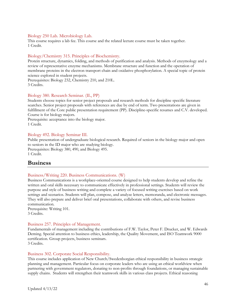#### Biology 250 Lab. Microbiology Lab.

This course requires a lab fee. This course and the related lecture course must be taken together. 1 Credit.

#### Biology/Chemistry 315. Principles of Biochemistry.

Protein structure, dynamics, folding, and methods of purification and analysis. Methods of enzymology and a review of representative enzyme mechanisms. Membrane structure and function and the operation of membrane proteins in the electron transport chain and oxidative phosphorylation. A special topic of protein science explored in student projects.

Prerequisites: Biology 232, Chemistry 210, and 210L. 3 Credits.

#### Biology 380. Research Seminar. (IL, PP)

Students choose topics for senior project proposals and research methods for discipline specific literature searches. Senior project proposals with references are due by end of term. Two presentations are given in fulfillment of the Core public presentation requirement (PP). Discipline-specific resumes and C.V. developed. Course is for biology majors.

Prerequisite: acceptance into the biology major. 1 Credit.

#### Biology 492. Biology Seminar III.

Public presentation of undergraduate biological research. Required of seniors in the biology major and open to seniors in the ID major who are studying biology. Prerequisites: Biology 380, 490, and Biology 495. 1 Credit.

#### <span id="page-45-0"></span>**Business**

#### Business/Writing 220. Business Communications. (W)

Business Communications is a workplace-oriented course designed to help students develop and refine the written and oral skills necessary to communicate effectively in professional settings. Students will review the purpose and style of business writing and complete a variety of focused writing exercises based on work settings and scenarios. Students will plan, compose, and analyze letters, memoranda, and electronic messages. They will also prepare and deliver brief oral presentations, collaborate with others, and revise business communication.

Prerequisite: Writing 101. 3 Credits.

#### Business 257. Principles of Management.

Fundamentals of management including the contributions of F.W. Taylor, Peter F. Drucker, and W. Edwards Deming. Special attention to business ethics, leadership, the Quality Movement, and ISO Teamwork 9000 certification. Group projects, business seminars. 3 Credits.

#### Business 302. Corporate Social Responsibility.

This course includes application of New Church/Swedenborgian ethical responsibility in business strategic planning and management. Particular focus on corporate leaders who are using an ethical worldview when partnering with government regulators, donating to non-profits through foundations, or managing sustainable supply chains. Students will strengthen their teamwork skills in various class projects. Ethical reasoning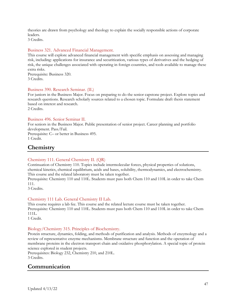theories are drawn from psychology and theology to explain the socially responsible actions of corporate leaders.

3 Credits.

#### Business 321. Advanced Financial Management.

This course will explore advanced financial management with specific emphasis on assessing and managing risk, including: applications for insurance and securitization, various types of derivatives and the hedging of risk, the unique challenges associated with operating in foreign countries, and tools available to manage these extra risks.

Prerequisite: Business 320. 3 Credits.

#### Business 390. Research Seminar. (IL)

For juniors in the Business Major. Focus on preparing to do the senior capstone project. Explore topics and research questions. Research scholarly sources related to a chosen topic. Formulate draft thesis statement based on interest and research.

2 Credits.

#### Business 496. Senior Seminar II.

For seniors in the Business Major. Public presentation of senior project. Career planning and portfolio development. Pass/Fail.

Prerequisite: C– or better in Business 495. 1 Credit.

### <span id="page-46-0"></span>**Chemistry**

#### Chemistry 111. General Chemistry II. (QR)

Continuation of Chemistry 110. Topics include intermolecular forces, physical properties of solutions, chemical kinetics, chemical equilibrium, acids and bases, solubility, thermodynamics, and electrochemistry. This course and the related laboratory must be taken together.

Prerequisite: Chemistry 110 and 110L. Students must pass both Chem 110 and 110L in order to take Chem 111.

3 Credits.

#### Chemistry 111 Lab. General Chemistry II Lab.

This course requires a lab fee. This course and the related lecture course must be taken together. Prerequisite: Chemistry 110 and 110L. Students must pass both Chem 110 and 110L in order to take Chem 111L.

1 Credit.

#### Biology/Chemistry 315. Principles of Biochemistry.

Protein structure, dynamics, folding, and methods of purification and analysis. Methods of enzymology and a review of representative enzyme mechanisms. Membrane structure and function and the operation of membrane proteins in the electron transport chain and oxidative phosphorylation. A special topic of protein science explored in student projects.

Prerequisites: Biology 232, Chemistry 210, and 210L.

3 Credits.

### <span id="page-46-1"></span>**Communication**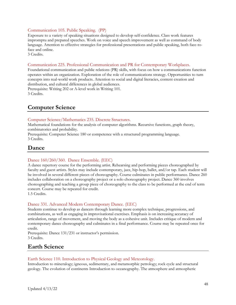#### Communication 105. Public Speaking. (PP)

Exposure to a variety of speaking situations designed to develop self-confidence. Class work features impromptu and prepared speeches. Work on voice and speech improvement as well as command of body language. Attention to effective strategies for professional presentations and public speaking, both face-toface and online.

3 Credits.

#### Communication 225. Professional Communication and PR for Contemporary Workplaces.

Foundational communication and public relations (PR) skills, with focus on how a communications function operates within an organization. Exploration of the role of communications strategy. Opportunities to turn concepts into real-world work products. Attention to social and digital literacies, content creation and distribution, and cultural differences in global audiences.

Prerequisite: Writing 202 or A-level work in Writing 101. 3 Credits.

### <span id="page-47-0"></span>**Computer Science**

#### Computer Science/Mathematics 235. Discrete Structures.

Mathematical foundations for the analysis of computer algorithms. Recursive functions, graph theory, combinatorics and probability.

Prerequisite: Computer Science 180 or competence with a structured programming language. 3 Credits.

### <span id="page-47-1"></span>**Dance**

#### Dance 160/260/360. Dance Ensemble. (EEC)

A dance repertory course for the performing artist. Rehearsing and performing pieces choreographed by faculty and guest artists. Styles may include contemporary, jazz, hip-hop, ballet, and/or tap. Each student will be involved in several different pieces of choreography. Course culminates in public performance. Dance 260 includes collaboration on a choreography project or a solo choreography project. Dance 360 involves choreographing and teaching a group piece of choreography to the class to be performed at the end of term concert. Course may be repeated for credit.

1.5 Credits.

#### Dance 331. Advanced Modern Contemporary Dance. (EEC)

Students continue to develop as dancers through learning more complex technique, progressions, and combinations, as well as engaging in improvisational exercises. Emphasis is on increasing accuracy of articulation, range of movement, and moving the body as a cohesive unit. Includes critique of modern and contemporary dance choreography and culminates in a final performance. Course may be repeated once for credit.

Prerequisite: Dance 131/231 or instructor's permission. 3 Credits.

### <span id="page-47-2"></span>**Earth Science**

#### Earth Science 110. Introduction to Physical Geology and Meteorology.

Introduction to mineralogy; igneous, sedimentary, and metamorphic petrology; rock cycle and structural geology. The evolution of continents Introduction to oceanography. The atmosphere and atmospheric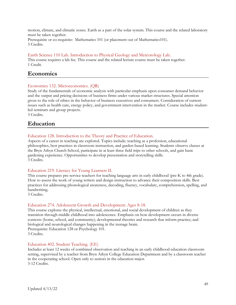motion, climate, and climatic zones. Earth as a part of the solar system. This course and the related laboratory must be taken together.

Prerequisite or co-requisite: Mathematics 101 (or placement out of Mathematics101). 3 Credits.

#### Earth Science 110 Lab. Introduction to Physical Geology and Meteorology Lab.

This course requires a lab fee. This course and the related lecture course must be taken together. 1 Credit.

### <span id="page-48-0"></span>**Economics**

#### Economics 132. Microeconomics. (QR)

Study of the fundamentals of economic analysis with particular emphasis upon consumer demand behavior and the output and pricing decisions of business firms under various market structures. Special attention given to the role of ethics in the behavior of business executives and consumers. Consideration of current issues such as health care, energy policy, and government intervention in the market. Course includes studentled seminars and group projects.

<span id="page-48-1"></span>3 Credits.

### **Education**

#### Education 128. Introduction to the Theory and Practice of Education.

Aspects of a career in teaching are explored. Topics include: teaching as a profession, educational philosophies, best practices in classroom instruction, and garden-based learning. Students observe classes at the Bryn Athyn Church School, participate in at least three field trips to other schools, and gain basic gardening experience. Opportunities to develop presentation and storytelling skills. 3 Credits.

#### Education 219. Literacy for Young Learners II.

This course prepares pre-service teachers for teaching language arts in early childhood (pre-K to 4th grade). How to assess the work of young writers and design instruction to advance their composition skills. Best practices for addressing phonological awareness, decoding, fluency, vocabulary, comprehension, spelling, and handwriting.

3 Credits.

#### Education 274. Adolescent Growth and Development: Ages 8-18.

This course explores the physical, intellectual, emotional, and social development of children as they transition through middle childhood into adolescence. Emphasis on how development occurs in diverse contexts (home, school, and community); developmental theories and research that inform practice; and biological and neurological changes happening in the teenage brain. Prerequisite: Education 128 or Psychology 101. 3 Credits.

#### Education 402. Student Teaching. (EE)

Includes at least 12 weeks of combined observation and teaching in an early childhood education classroom setting, supervised by a teacher from Bryn Athyn College Education Department and by a classroom teacher in the cooperating school. Open only to seniors in the education major. 3-12 Credits.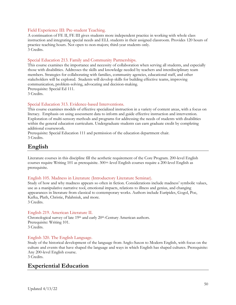#### Field Experience III: Pre-student Teaching.

A continuation of FE II, FE III gives students more independent practice in working with whole class instruction and integrating special needs and ELL students in their assigned classroom. Provides 120 hours of practice teaching hours. Not open to non-majors; third-year students only. 3 Credits.

#### Special Education 213. Family and Community Partnerships.

This course examines the importance and necessity of collaboration when serving all students, and especially those with disabilities. Addresses the skills and knowledge needed by teachers and interdisciplinary team members. Strategies for collaborating with families, community agencies, educational staff, and other stakeholders will be explored. Students will develop skills for building effective teams, improving communication, problem-solving, advocating and decision-making. Prerequisite: Special Ed 111.

3 Credits.

#### Special Education 313. Evidence-based Interventions.

This course examines models of effective specialized instruction in a variety of content areas, with a focus on literacy. Emphasis on using assessment data to inform and guide effective instruction and intervention. Exploration of multi-sensory methods and programs for addressing the needs of students with disabilities within the general education curriculum. Undergraduate students can earn graduate credit by completing additional coursework.

Prerequisite: Special Education 111 and permission of the education department chair. 3 Credits.

### <span id="page-49-0"></span>**English**

Literature courses in this discipline fill the aesthetic requirement of the Core Program. 200-level English courses require Writing 101 as prerequisite. 300+-level English courses require a 200-level English as prerequisite.

#### English 105. Madness in Literature (Introductory Literature Seminar).

Study of how and why madness appears so often in fiction. Considerations include madness' symbolic values, use as a manipulative narrative tool, emotional impacts, relations to illness and genius, and changing appearances in literature from classical to contemporary works. Authors include Euripides, Gogol, Poe, Kafka, Plath, Christie, Palahniuk, and more. 3 Credits.

#### English 219. American Literature II.

Chronological survey of late 19th and early 20th-Century American authors. Prerequisite: Writing 101. 3 Credits.

#### English 320. The English Language.

Study of the historical development of the language from Anglo-Saxon to Modern English, with focus on the culture and events that have shaped the language and ways in which English has shaped cultures. Prerequisite: Any 200-level English course.

3 Credits.

### <span id="page-49-1"></span>**Experiential Education**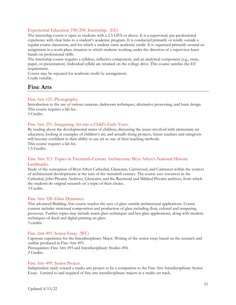#### Experiential Education 198/298. Internship. (EE)

The internship course is open to students with a 2.5 GPA or above. It is a supervised, pre-professional experience with clear links to a student's academic program. It is conducted primarily or totally outside a regular course classroom, and for which a student earns academic credit. It is organized primarily around an assignment in a work-place situation in which students working under the direction of a supervisor learn hands-on professional skills.

The internship course requires a syllabus, reflective component, and an analytical component (e.g., essay, paper, or presentation). Individual syllabi are retained on the college drive. This course satisfies the EE requirement.

Course may be repeated for academic credit by arrangement. Credit variable.

### <span id="page-50-0"></span>**Fine Arts**

#### Fine Arts 125. Photography.

Introduction to the use of various cameras, darkroom techniques, alternative processing, and basic design. This course requires a lab fee.

3 Credits.

#### Fine Arts 251. Integrating Art into a Child's Early Years.

By reading about the developmental states of children, discussing the issues involved with elementary art education, looking at examples of children's art, and actually doing projects, future teachers and caregivers will become confident in their ability to use art as one of their teaching methods. This course requires a lab fee.

1.5 Credits.

#### Fine Arts 313. Topics in Twentieth-Century Architecture: Bryn Athyn's National Historic Landmarks.

Study of the conception of Bryn Athyn Cathedral, Glencairn, Cairnwood, and Cairncrest within the context of architectural developments at the turn of the twentieth century. The course uses resources in the Cathedral, John Pitcairn Archives, Glencairn, and the Raymond and Mildred Pitcairn archives, from which the students do original research on a topic of their choice. 3 Credits.

#### Fine Arts 328. Glass Dynamics.

This advanced Building Arts course teaches the uses of glass outside architectural applications. Course content includes structural composition and production of glass including float, colored and tempering processes. Further topics may include warm glass techniques and hot glass applications, along with modern techniques of decal and digital printing on glass. 3 credits.

#### Fine Arts 495. Senior Essay. (WC)

Capstone experience for the Interdisciplinary Major. Writing of the senior essay based on the research and outline produced in Fine Arts 493.

Prerequisites: Fine Arts 493 and Interdisciplinary Studies 494. 2 Credits.

#### Fine Arts 499. Senior Project.

Independent study toward a studio arts project to be a companion to the Fine Arts Interdisciplinary Senior Essay. Limited to and required of fine arts interdisciplinary majors in a studio art track.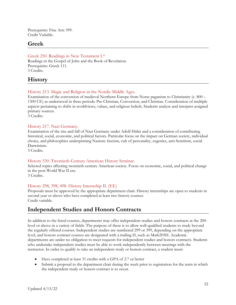Prerequisite: Fine Arts 399. Credit Variable.

### <span id="page-51-0"></span>**Greek**

Greek 250. Readings in New Testament I.\* Readings in the Gospel of John and the Book of Revelation. Prerequisite: Greek 111. 3 Credits.

### <span id="page-51-1"></span>**History**

#### History 213. Magic and Religion in the Nordic Middle Ages.

Examination of the conversion of medieval Northern Europe from Norse paganism to Christianity (c. 800 – 1300 CE) as understood in three periods: Pre-Christian, Conversion, and Christian. Consideration of multiple aspects pertaining to shifts in worldviews, values, and religious beliefs. Students analyze and interpret assigned primary sources.

3 Credits.

#### History 217. Nazi Germany.

Examination of the rise and fall of Nazi Germany under Adolf Hitler and a consideration of contributing historical, social, economic, and political factors. Particular focus on the impact on German society, individual choice, and philosophies underpinning Nazism: fascism, cult of personality, eugenics, anti-Semitism, social Darwinism.

3 Credits.

#### History 330. Twentieth-Century American History Seminar.

Selected topics affecting twentieth-century American society. Focus on economic, social, and political change in the post-World War II era.

3 Credits.

#### History 298, 398, 498. History Internship II. (EE)

Proposals must be approved by the appropriate department chair. History internships are open to students in second year or above who have completed at least two history courses. Credit variable.

### <span id="page-51-2"></span>**Independent Studies and Honors Contracts**

In addition to the listed courses, departments may offer independent studies and honors contracts at the 200 level or above in a variety of fields. The purpose of these is to allow well-qualified students to study beyond the regularly offered courses. Independent studies are numbered 299 or 399, depending on the appropriate level, and honors contract courses are designated with a trailing H, such as Math205H. Academic departments are under no obligation to meet requests for independent studies and honors contracts. Students who undertake independent studies must be able to work independently between meetings with the instructor. In order to qualify to take an independent study or honors contract, a student must:

- Have completed at least 31 credits with a GPA of 2.7 or better
- Submit a proposal to the department chair during the week prior to registration for the term in which the independent study or honors contract is to occur.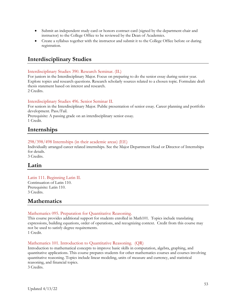- Submit an independent study card or honors contract card (signed by the department chair and instructor) to the College Office to be reviewed by the Dean of Academics.
- Create a syllabus together with the instructor and submit it to the College Office before or during registration.

### <span id="page-52-0"></span>**Interdisciplinary Studies**

#### Interdisciplinary Studies 390. Research Seminar. (IL)

For juniors in the Interdisciplinary Major. Focus on preparing to do the senior essay during senior year. Explore topics and research questions. Research scholarly sources related to a chosen topic. Formulate draft thesis statement based on interest and research. 2 Credits.

#### Interdisciplinary Studies 496. Senior Seminar II.

For seniors in the Interdisciplinary Major. Public presentation of senior essay. Career planning and portfolio development. Pass/Fail.

Prerequisite: A passing grade on an interdisciplinary senior essay. 1 Credit.

### <span id="page-52-1"></span>**Internships**

#### 298/398/498 Internships (in their academic areas) (EE)

Individually arranged career related internships. See the Major Department Head or Director of Internships for details.

3 Credits.

#### <span id="page-52-2"></span>**Latin**

#### Latin 111. Beginning Latin II.

Continuation of Latin 110. Prerequisite: Latin 110. 3 Credits.

### <span id="page-52-3"></span>**Mathematics**

#### Mathematics 095. Preparation for Quantitative Reasoning.

This course provides additional support for students enrolled in Math101. Topics include translating expressions, building equations, order of operations, and recognizing context. Credit from this course may not be used to satisfy degree requirements. 1 Credit.

#### Mathematics 101. Introduction to Quantitative Reasoning. (QR)

Introduction to mathematical concepts to improve basic skills in computation, algebra, graphing, and quantitative applications. This course prepares students for other mathematics courses and courses involving quantitative reasoning. Topics include linear modeling, units of measure and currency, and statistical reasoning, and financial topics.

3 Credits.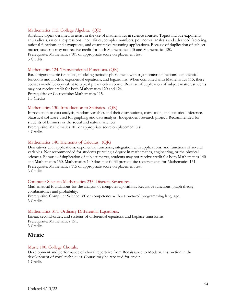#### Mathematics 115. College Algebra. (QR)

Algebraic topics designed to assist in the use of mathematics in science courses. Topics include exponents and radicals, rational expressions, inequalities, complex numbers, polynomial analysis and advanced factoring, rational functions and asymptotes, and quantitative reasoning applications. Because of duplication of subject matter, students may not receive credit for both Mathematics 115 and Mathematics 120. Prerequisite: Mathematics 101 or appropriate score on placement test. 3 Credits.

#### Mathematics 124. Transcendental Functions. (QR)

Basic trigonometric functions, modeling periodic phenomena with trigonometric functions, exponential functions and models, exponential equations, and logarithms. When combined with Mathematics 115, these courses would be equivalent to typical pre-calculus course. Because of duplication of subject matter, students may not receive credit for both Mathematics 120 and 124.

Prerequisite or Co-requisite: Mathematics 115.

1.5 Credits

#### Mathematics 130. Introduction to Statistics. (QR)

Introduction to data analysis, random variables and their distributions, correlation, and statistical inference. Statistical software used for graphing and data analysis. Independent research project. Recommended for students of business or the social and natural sciences.

Prerequisite: Mathematics 101 or appropriate score on placement test. 4 Credits.

#### Mathematics 140. Elements of Calculus. (QR)

Derivatives with applications, exponential functions, integration with applications, and functions of several variables. Not recommended for students pursuing a degree in mathematics, engineering, or the physical sciences. Because of duplication of subject matter, students may not receive credit for both Mathematics 140 and Mathematics 150. Mathematics 140 does not fulfill prerequisite requirements for Mathematics 151. Prerequisite: Mathematics 115 or appropriate score on placement test. 3 Credits.

#### Computer Science/Mathematics 235. Discrete Structures.

Mathematical foundations for the analysis of computer algorithms. Recursive functions, graph theory, combinatorics and probability.

Prerequisite: Computer Science 180 or competence with a structured programming language. 3 Credits.

#### Mathematics 311. Ordinary Differential Equations.

Linear, second-order, and systems of differential equations and Laplace transforms. Prerequisite: Mathematics 151. 3 Credits.

### <span id="page-53-0"></span>**Music**

#### Music 100. College Chorale.

Development and performance of choral repertoire from Renaissance to Modern. Instruction in the development of vocal techniques. Course may be repeated for credit. 1 Credit.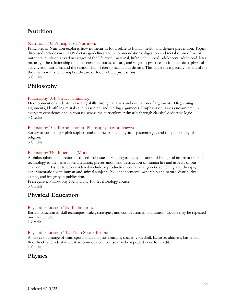### <span id="page-54-0"></span>**Nutrition**

#### Nutrition 110. Principles of Nutrition.

Principles of Nutrition explores how nutrients in food relate to human health and disease prevention. Topics discussed include current US dietary guidelines and recommendations, digestion and metabolism of major nutrients, nutrition at various stages of the life cycle (maternal, infant, childhood, adolescent, adulthood, later maturity), the relationship of socioeconomic status, culture, and religious practices to food choices, physical activity and nutrition, and the relationship of diet to health and disease. This course is especially beneficial for those who will be entering health-care or food related professions. 3 Credits.

### <span id="page-54-1"></span>**Philosophy**

#### Philosophy 101. Critical Thinking.

Development of students' reasoning skills through analysis and evaluation of arguments. Diagraming arguments, identifying mistakes in reasoning, and writing arguments. Emphasis on issues encountered in everyday experience and in courses across the curriculum, primarily through classical deductive logic. 3 Credits.

#### Philosophy 102. Introduction to Philosophy. (Worldviews)

Survey of some major philosophers and theories in metaphysics, epistemology, and the philosophy of religion.

3 Credits.

#### Philosophy 340. Bioethics. (Moral)

A philosophical exploration of the ethical issues pertaining to the application of biological information and technology to the generation, alteration, preservation, and destruction of human life and aspects of our environment. Issues to be considered include: reproduction, euthanasia, genetic screening and therapy, experimentation with human and animal subjects, bio enhancement, ownership and nature, distributive justice, and integrity in publication.

Prerequisite: Philosophy 102 and any 100-level Biology course. 3 Credits.

### <span id="page-54-2"></span>**Physical Education**

#### Physical Education 129. Badminton.

Basic instruction in skill techniques, rules, strategies, and competition in badminton. Course may be repeated once for credit.

1 Credit.

#### <span id="page-54-3"></span>Physical Education 112. Team Sports for Fun.

A survey of a range of team sports including for example, soccer, volleyball, lacrosse, ultimate, basketball, floor hockey. Student interest accommodated. Course may be repeated once for credit. 1 Credit.

### **Physics**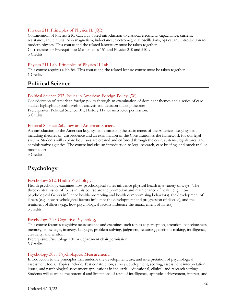#### Physics 211. Principles of Physics II. (QR)

Continuation of Physics 210. Calculus-based introduction to classical electricity, capacitance, current, resistance, and circuits. Also magnetism, inductance, electromagnetic oscillations, optics, and introduction to modern physics. This course and the related laboratory must be taken together. Co-requisites or Prerequisites: Mathematics 151 and Physics 210 and 210L. 3 Credits.

#### Physics 211 Lab. Principles of Physics II Lab.

This course requires a lab fee. This course and the related lecture course must be taken together. 1 Credit.

### <span id="page-55-0"></span>**Political Science**

#### Political Science 232. Issues in American Foreign Policy. (W)

Consideration of American foreign policy through an examination of dominant themes and a series of case studies highlighting both levels of analysis and decision-making theories. Prerequisites: Political Science 101, History 117, or instructor permission. 3 Credits.

Political Science 260. Law and American Society.

An introduction to the American legal system examining the basic tenets of the American Legal system, including theories of jurisprudence and an examination of the Constitution as the framework for our legal system. Students will explore how laws are created and enforced through the court systems, legislatures, and administrative agencies. The course includes an introduction to legal research, case briefing, and mock trial or moot court.

3 Credits.

### <span id="page-55-1"></span>**Psychology**

#### Psychology 212. Health Psychology.

Health psychology examines how psychological states influence physical health in a variety of ways. The three central issues of focus in this course are the promotion and maintenance of health (e.g., how psychological factors influence health-promoting and health compromising behaviors), the development of illness (e.g., how psychological factors influence the development and progression of disease), and the treatment of illness (e.g., how psychological factors influence the management of illness). 3 credits.

#### Psychology 220. Cognitive Psychology.

This course features cognitive neuroscience and examines such topics as perception, attention, consciousness, memory, knowledge, imagery, language, problem-solving, judgment, reasoning, decision-making, intelligence, creativity, and wisdom.

Prerequisite: Psychology 101 or department chair permission. 3 Credits.

#### Psychology 307. Psychological Measurement.

Introduction to the principles that underlie the development, use, and interpretation of psychological assessment tools. Topics include: Test construction, survey development, scoring, assessment interpretation issues, and psychological assessment applications in industrial, educational, clinical, and research settings. Students will examine the potential and limitations of tests of intelligence, aptitude, achievement, interest, and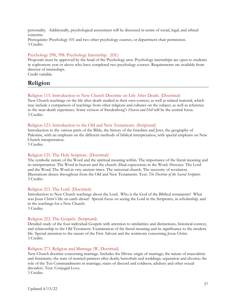personality. Additionally, psychological assessment will be discussed in terms of social, legal, and ethical concerns.

Prerequisite: Psychology 101 and two other psychology courses, or department chair permission. 3 Credits.

#### Psychology 298, 398. Psychology Internship. (EE)

Proposals must be approved by the head of the Psychology area. Psychology internships are open to students in sophomore year or above who have completed two psychology courses. Requirements are available from director of internships.

Credit variable.

### <span id="page-56-0"></span>**Religion**

#### Religion 115. Introduction to New Church Doctrine on Life After Death. (Doctrinal)

New Church teachings on the life after death studied in their own context, as well as related material, which may include a comparison of teachings from other religions and cultures on the subject, as well as reference to the near-death experience. Some version of Swedenborg's *Heaven and Hell* will be the central focus. 3 Credits.

#### Religion 123. Introduction to the Old and New Testaments. (Scriptural)

Introduction to the various parts of the Bible, the history of the Israelites and Jews, the geography of Palestine, with an emphasis on the different methods of biblical interpretation, with special emphasis on New Church interpretation.

3 Credits.

#### Religion 125. The Holy Scripture. (Doctrinal)

The symbolic nature of the Word and the spiritual meaning within. The importance of the literal meaning and its interpretation. The Word in heaven and the church. Dual expressions in the Word. Heresies. The Lord and the Word. The Word in very ancient times. The universal church. The necessity of revelation. Illustrations drawn throughout from the Old and New Testaments. Text: *The Doctrine of the Sacred Scripture*. 3 Credits.

#### Religion 215. The Lord. (Doctrinal)

Introduction to New Church teachings about the Lord. Who is the God of the Biblical testaments? What was Jesus Christ's life on earth about? Special focus on seeing the Lord in the Scriptures, in scholarship, and in the teachings for a New Church. 3 Credits.

#### Religion 222. The Gospels. (Scriptural)

Detailed study of the four individual Gospels with attention to similarities and distinctions, historical context, and relationship to the Old Testament. Examination of the literal meaning and its significance to the modern life. Special attention to the nature of the First Advent and the testimony concerning Jesus Christ. 3 Credits.

#### Religion 273. Religion and Marriage (W, Doctrinal)

New Church doctrine concerning marriage. Includes the Divine origin of marriage; the nature of masculinity and femininity; the state of married partners after death; betrothals and weddings; separation and divorce; the role of the Ten Commandments in marriage; states of discord and coldness; adultery and other sexual disorders. Text: Conjugial Love.

3 Credits.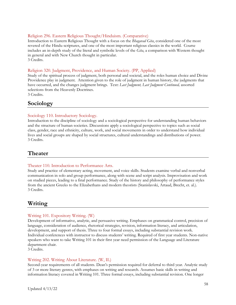#### Religion 296. Eastern Religious Thought/Hinduism. (Comparative)

Introduction to Eastern Religious Thought with a focus on the *Bhagavad Gita*, considered one of the most revered of the Hindu scriptures, and one of the most important religious classics in the world. Course includes an in-depth study of the literal and symbolic levels of the *Gita*, a comparison with Western thought in general and with New Church thought in particular. 3 Credits.

#### Religion 320. Judgment, Providence, and Human Society. (PP, Applied)

Study of the spiritual process of judgment, both personal and societal, and the roles human choice and Divine Providence play in judgment. Attention given to the role of judgment in human history, the judgments that have occurred, and the changes judgment brings. Text: *Last Judgment, Last Judgment Continued,* assorted selections from the Heavenly Doctrines.

<span id="page-57-0"></span>3 Credits.

### **Sociology**

#### Sociology 110. Introductory Sociology.

Introduction to the discipline of sociology and a sociological perspective for understanding human behaviors and the structure of human societies. Discussions apply a sociological perspective to topics such as social class, gender, race and ethnicity, culture, work, and social movements in order to understand how individual lives and social groups are shaped by social structures, cultural understandings and distributions of power. 3 Credits.

### <span id="page-57-1"></span>**Theater**

#### Theater 110. Introduction to Performance Arts.

Study and practice of elementary acting, movement, and voice skills. Students examine verbal and nonverbal communication in solo and group performance, along with scene and script analysis. Improvisation and work on studied pieces, leading to a final performance. Study of the history and philosophy of performance styles from the ancient Greeks to the Elizabethans and modern theorists (Stanislavski, Artaud, Brecht, et. al.). 3 Credits.

### <span id="page-57-2"></span>**Writing**

#### Writing 101. Expository Writing. (W)

Development of informative, analytic, and persuasive writing. Emphases on grammatical control, precision of language, consideration of audience, rhetorical strategies, revision, information literacy, and articulation, development, and support of thesis. Three to four formal essays, including substantial revision work. Individual conferences with instructor to discuss students' writing. Required of first year students. Non-native speakers who want to take Writing 101 in their first year need permission of the Language and Literature department chair.

3 Credits.

#### Writing 202. Writing About Literature. (W, IL)

Second-year requirements of all students. Dean's permission required for deferral to third year. Analytic study of 3 or more literary genres, with emphases on writing and research. Assumes basic skills in writing and information literacy covered in Writing 101. Three formal essays, including substantial revision. One longer